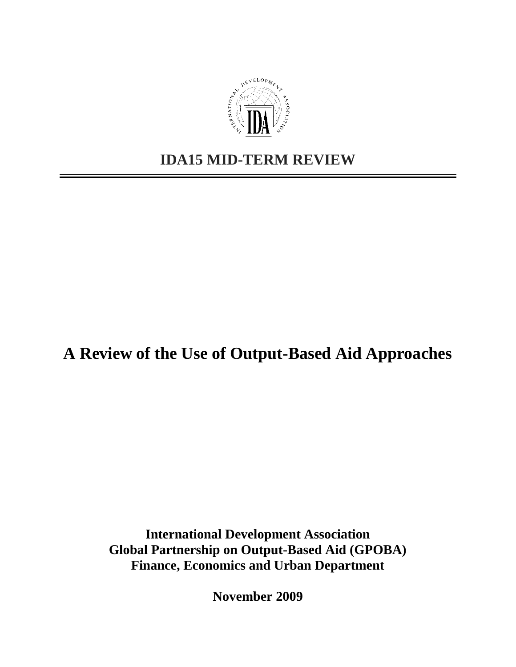

# **IDA15 MID-TERM REVIEW**

# **A Review of the Use of Output-Based Aid Approaches**

**International Development Association Global Partnership on Output-Based Aid (GPOBA) Finance, Economics and Urban Department**

**November 2009**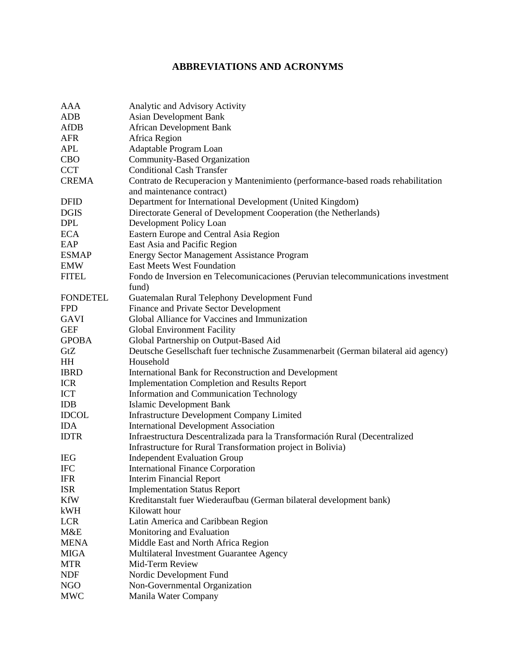## **ABBREVIATIONS AND ACRONYMS**

| <b>AAA</b>      | Analytic and Advisory Activity                                                     |
|-----------------|------------------------------------------------------------------------------------|
| <b>ADB</b>      | <b>Asian Development Bank</b>                                                      |
| <b>AfDB</b>     | <b>African Development Bank</b>                                                    |
| <b>AFR</b>      | Africa Region                                                                      |
| <b>APL</b>      | Adaptable Program Loan                                                             |
| <b>CBO</b>      | Community-Based Organization                                                       |
| <b>CCT</b>      | <b>Conditional Cash Transfer</b>                                                   |
| <b>CREMA</b>    | Contrato de Recuperacion y Mantenimiento (performance-based roads rehabilitation   |
|                 | and maintenance contract)                                                          |
| <b>DFID</b>     | Department for International Development (United Kingdom)                          |
| <b>DGIS</b>     | Directorate General of Development Cooperation (the Netherlands)                   |
| <b>DPL</b>      | Development Policy Loan                                                            |
| <b>ECA</b>      | Eastern Europe and Central Asia Region                                             |
| EAP             | East Asia and Pacific Region                                                       |
| <b>ESMAP</b>    | <b>Energy Sector Management Assistance Program</b>                                 |
| <b>EMW</b>      | <b>East Meets West Foundation</b>                                                  |
| <b>FITEL</b>    | Fondo de Inversion en Telecomunicaciones (Peruvian telecommunications investment   |
|                 | fund)                                                                              |
| <b>FONDETEL</b> | Guatemalan Rural Telephony Development Fund                                        |
| <b>FPD</b>      | Finance and Private Sector Development                                             |
| <b>GAVI</b>     | Global Alliance for Vaccines and Immunization                                      |
| <b>GEF</b>      | <b>Global Environment Facility</b>                                                 |
| <b>GPOBA</b>    | Global Partnership on Output-Based Aid                                             |
| GtZ             | Deutsche Gesellschaft fuer technische Zusammenarbeit (German bilateral aid agency) |
| HH              | Household                                                                          |
| <b>IBRD</b>     | International Bank for Reconstruction and Development                              |
| <b>ICR</b>      | <b>Implementation Completion and Results Report</b>                                |
| <b>ICT</b>      | <b>Information and Communication Technology</b>                                    |
| <b>IDB</b>      | <b>Islamic Development Bank</b>                                                    |
| <b>IDCOL</b>    | <b>Infrastructure Development Company Limited</b>                                  |
| <b>IDA</b>      | <b>International Development Association</b>                                       |
| <b>IDTR</b>     | Infraestructura Descentralizada para la Transformación Rural (Decentralized        |
|                 | Infrastructure for Rural Transformation project in Bolivia)                        |
| <b>IEG</b>      | <b>Independent Evaluation Group</b>                                                |
| <b>IFC</b>      | <b>International Finance Corporation</b>                                           |
| <b>IFR</b>      | Interim Financial Report                                                           |
| <b>ISR</b>      | <b>Implementation Status Report</b>                                                |
| <b>KfW</b>      | Kreditanstalt fuer Wiederaufbau (German bilateral development bank)                |
| kWH             | Kilowatt hour                                                                      |
| <b>LCR</b>      | Latin America and Caribbean Region                                                 |
| M&E             | Monitoring and Evaluation                                                          |
| <b>MENA</b>     | Middle East and North Africa Region                                                |
| <b>MIGA</b>     | Multilateral Investment Guarantee Agency                                           |
| <b>MTR</b>      | Mid-Term Review                                                                    |
| <b>NDF</b>      | Nordic Development Fund                                                            |
| NGO             | Non-Governmental Organization                                                      |
| <b>MWC</b>      | Manila Water Company                                                               |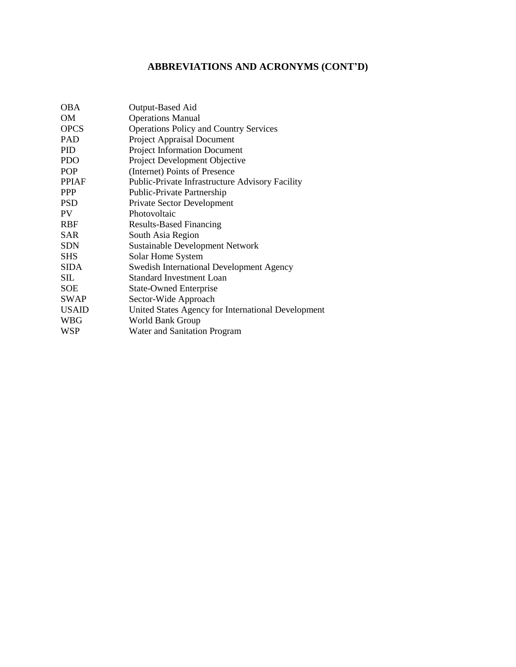## **ABBREVIATIONS AND ACRONYMS (CONT"D)**

| <b>OBA</b>   | Output-Based Aid                                       |
|--------------|--------------------------------------------------------|
| <b>OM</b>    | <b>Operations Manual</b>                               |
| <b>OPCS</b>  | <b>Operations Policy and Country Services</b>          |
| <b>PAD</b>   | <b>Project Appraisal Document</b>                      |
| <b>PID</b>   | <b>Project Information Document</b>                    |
| <b>PDO</b>   | Project Development Objective                          |
| <b>POP</b>   | (Internet) Points of Presence                          |
| <b>PPIAF</b> | <b>Public-Private Infrastructure Advisory Facility</b> |
| <b>PPP</b>   | Public-Private Partnership                             |
| <b>PSD</b>   | <b>Private Sector Development</b>                      |
| <b>PV</b>    | Photovoltaic                                           |
| <b>RBF</b>   | <b>Results-Based Financing</b>                         |
| <b>SAR</b>   | South Asia Region                                      |
| <b>SDN</b>   | <b>Sustainable Development Network</b>                 |
| <b>SHS</b>   | Solar Home System                                      |
| <b>SIDA</b>  | <b>Swedish International Development Agency</b>        |
| SIL          | <b>Standard Investment Loan</b>                        |
| <b>SOE</b>   | <b>State-Owned Enterprise</b>                          |
| <b>SWAP</b>  | Sector-Wide Approach                                   |
| <b>USAID</b> | United States Agency for International Development     |
| <b>WBG</b>   | World Bank Group                                       |
| <b>WSP</b>   | Water and Sanitation Program                           |
|              |                                                        |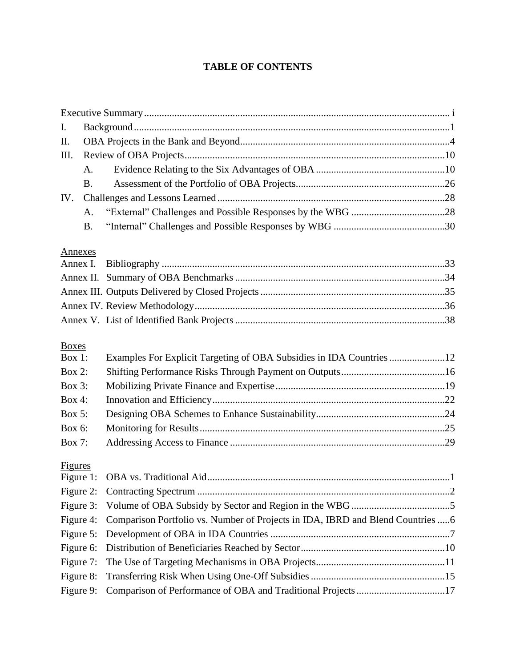## **TABLE OF CONTENTS**

| I.                        |           |                                                                                 |  |
|---------------------------|-----------|---------------------------------------------------------------------------------|--|
| Π.                        |           |                                                                                 |  |
| Ш.                        |           |                                                                                 |  |
|                           | A.        |                                                                                 |  |
|                           | <b>B.</b> |                                                                                 |  |
| IV.                       |           |                                                                                 |  |
|                           | A.        |                                                                                 |  |
|                           | <b>B.</b> |                                                                                 |  |
| Annexes                   |           |                                                                                 |  |
| Annex I.                  |           |                                                                                 |  |
|                           |           |                                                                                 |  |
|                           |           |                                                                                 |  |
|                           |           |                                                                                 |  |
|                           |           |                                                                                 |  |
| <b>Boxes</b><br>Box $1$ : |           | Examples For Explicit Targeting of OBA Subsidies in IDA Countries 12            |  |
| <b>Box 2:</b>             |           |                                                                                 |  |
| Box 3:                    |           |                                                                                 |  |
| <b>Box 4:</b>             |           |                                                                                 |  |
| Box 5:                    |           |                                                                                 |  |
| Box 6:                    |           |                                                                                 |  |
| Box 7:                    |           |                                                                                 |  |
| Figures                   |           |                                                                                 |  |
| Figure 1:                 |           |                                                                                 |  |
| Figure 2:                 |           |                                                                                 |  |
| Figure 3:                 |           |                                                                                 |  |
| Figure 4:                 |           | Comparison Portfolio vs. Number of Projects in IDA, IBRD and Blend Countries  6 |  |
| Figure 5:                 |           |                                                                                 |  |
| Figure 6:                 |           |                                                                                 |  |
| Figure 7:                 |           |                                                                                 |  |
| Figure 8:                 |           |                                                                                 |  |
| Figure 9:                 |           | Comparison of Performance of OBA and Traditional Projects 17                    |  |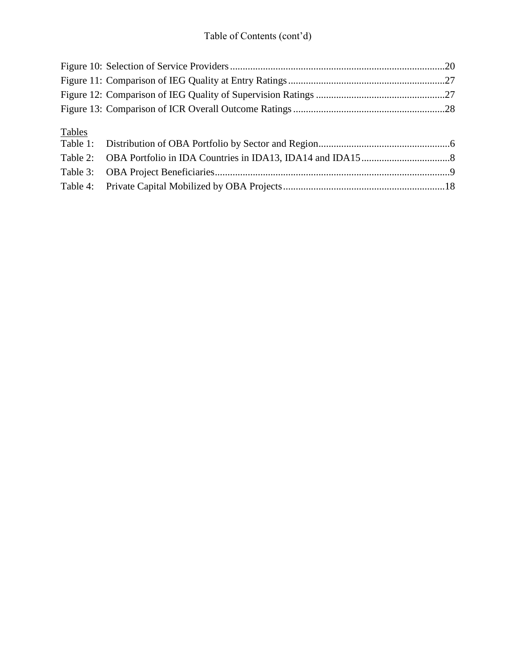# Table of Contents (cont'd)

| Tables |  |
|--------|--|
|        |  |
|        |  |
|        |  |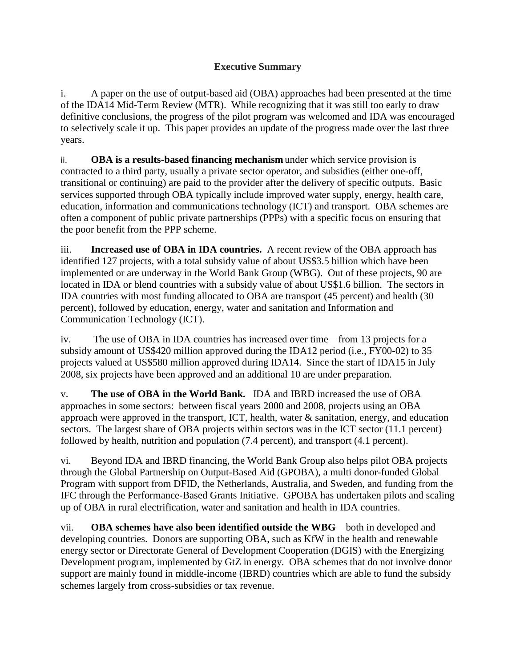## **Executive Summary**

i. A paper on the use of output-based aid (OBA) approaches had been presented at the time of the IDA14 Mid-Term Review (MTR). While recognizing that it was still too early to draw definitive conclusions, the progress of the pilot program was welcomed and IDA was encouraged to selectively scale it up. This paper provides an update of the progress made over the last three years.

ii. **OBA is a results-based financing mechanism** under which service provision is contracted to a third party, usually a private sector operator, and subsidies (either one-off, transitional or continuing) are paid to the provider after the delivery of specific outputs. Basic services supported through OBA typically include improved water supply, energy, health care, education, information and communications technology (ICT) and transport. OBA schemes are often a component of public private partnerships (PPPs) with a specific focus on ensuring that the poor benefit from the PPP scheme.

iii. **Increased use of OBA in IDA countries.** A recent review of the OBA approach has identified 127 projects, with a total subsidy value of about US\$3.5 billion which have been implemented or are underway in the World Bank Group (WBG). Out of these projects, 90 are located in IDA or blend countries with a subsidy value of about US\$1.6 billion. The sectors in IDA countries with most funding allocated to OBA are transport (45 percent) and health (30 percent), followed by education, energy, water and sanitation and Information and Communication Technology (ICT).

iv. The use of OBA in IDA countries has increased over time – from 13 projects for a subsidy amount of US\$420 million approved during the IDA12 period (i.e., FY00-02) to 35 projects valued at US\$580 million approved during IDA14. Since the start of IDA15 in July 2008, six projects have been approved and an additional 10 are under preparation.

v. **The use of OBA in the World Bank.** IDA and IBRD increased the use of OBA approaches in some sectors: between fiscal years 2000 and 2008, projects using an OBA approach were approved in the transport, ICT, health, water & sanitation, energy, and education sectors. The largest share of OBA projects within sectors was in the ICT sector (11.1 percent) followed by health, nutrition and population (7.4 percent), and transport (4.1 percent).

vi. Beyond IDA and IBRD financing, the World Bank Group also helps pilot OBA projects through the Global Partnership on Output-Based Aid (GPOBA), a multi donor-funded Global Program with support from DFID, the Netherlands, Australia, and Sweden, and funding from the IFC through the Performance-Based Grants Initiative. GPOBA has undertaken pilots and scaling up of OBA in rural electrification, water and sanitation and health in IDA countries.

vii. **OBA schemes have also been identified outside the WBG** – both in developed and developing countries. Donors are supporting OBA, such as KfW in the health and renewable energy sector or Directorate General of Development Cooperation (DGIS) with the Energizing Development program, implemented by GtZ in energy. OBA schemes that do not involve donor support are mainly found in middle-income (IBRD) countries which are able to fund the subsidy schemes largely from cross-subsidies or tax revenue.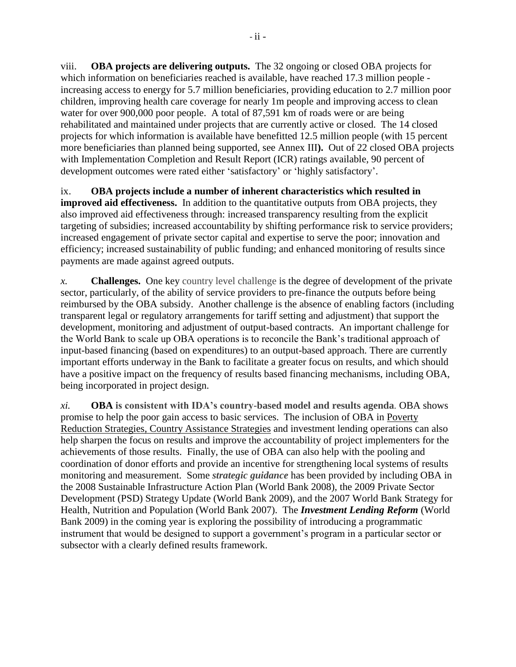viii. **OBA projects are delivering outputs.** The 32 ongoing or closed OBA projects for which information on beneficiaries reached is available, have reached 17.3 million people increasing access to energy for 5.7 million beneficiaries, providing education to 2.7 million poor children, improving health care coverage for nearly 1m people and improving access to clean water for over 900,000 poor people. A total of 87,591 km of roads were or are being rehabilitated and maintained under projects that are currently active or closed. The 14 closed projects for which information is available have benefitted 12.5 million people (with 15 percent more beneficiaries than planned being supported, see Annex III**).** Out of 22 closed OBA projects with Implementation Completion and Result Report (ICR) ratings available, 90 percent of development outcomes were rated either 'satisfactory' or 'highly satisfactory'.

ix. **OBA projects include a number of inherent characteristics which resulted in improved aid effectiveness.** In addition to the quantitative outputs from OBA projects, they also improved aid effectiveness through: increased transparency resulting from the explicit targeting of subsidies; increased accountability by shifting performance risk to service providers; increased engagement of private sector capital and expertise to serve the poor; innovation and efficiency; increased sustainability of public funding; and enhanced monitoring of results since payments are made against agreed outputs.

*x.* **Challenges.** One key country level challenge is the degree of development of the private sector, particularly, of the ability of service providers to pre-finance the outputs before being reimbursed by the OBA subsidy. Another challenge is the absence of enabling factors (including transparent legal or regulatory arrangements for tariff setting and adjustment) that support the development, monitoring and adjustment of output-based contracts. An important challenge for the World Bank to scale up OBA operations is to reconcile the Bank's traditional approach of input-based financing (based on expenditures) to an output-based approach. There are currently important efforts underway in the Bank to facilitate a greater focus on results, and which should have a positive impact on the frequency of results based financing mechanisms, including OBA, being incorporated in project design.

*xi.* **OBA is consistent with IDA"s country-based model and results agenda***.* OBA shows promise to help the poor gain access to basic services. The inclusion of OBA in Poverty Reduction Strategies, Country Assistance Strategies and investment lending operations can also help sharpen the focus on results and improve the accountability of project implementers for the achievements of those results. Finally, the use of OBA can also help with the pooling and coordination of donor efforts and provide an incentive for strengthening local systems of results monitoring and measurement. Some *strategic guidance* has been provided by including OBA in the 2008 Sustainable Infrastructure Action Plan (World Bank 2008), the 2009 Private Sector Development (PSD) Strategy Update (World Bank 2009), and the 2007 World Bank Strategy for Health, Nutrition and Population (World Bank 2007). The *Investment Lending Reform* (World Bank 2009) in the coming year is exploring the possibility of introducing a programmatic instrument that would be designed to support a government's program in a particular sector or subsector with a clearly defined results framework.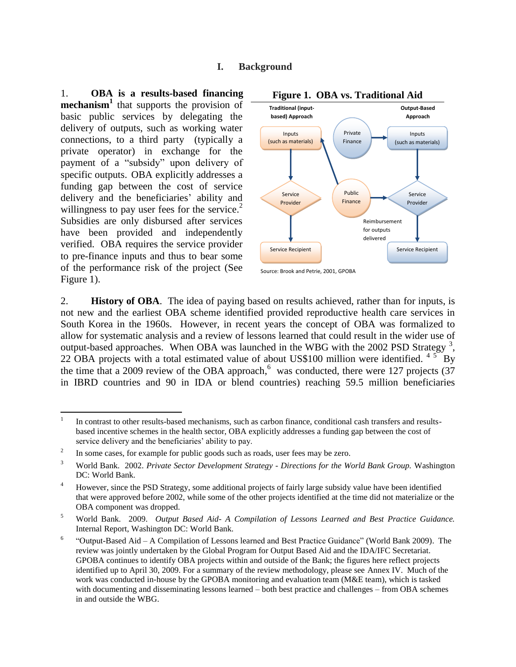#### **I. Background**

1. **OBA is a results-based financing mechanism<sup>1</sup>** that supports the provision of basic public services by delegating the delivery of outputs, such as working water connections, to a third party (typically a private operator) in exchange for the payment of a "subsidy" upon delivery of specific outputs. OBA explicitly addresses a funding gap between the cost of service delivery and the beneficiaries' ability and willingness to pay user fees for the service.<sup>2</sup> Subsidies are only disbursed after services have been provided and independently verified. OBA requires the service provider to pre-finance inputs and thus to bear some of the performance risk of the project (See Figure 1).



#### **Figure 1. OBA vs. Traditional Aid**

Source: Brook and Petrie, 2001, GPOBA

2. **History of OBA**. The idea of paying based on results achieved, rather than for inputs, is not new and the earliest OBA scheme identified provided reproductive health care services in South Korea in the 1960s. However, in recent years the concept of OBA was formalized to allow for systematic analysis and a review of lessons learned that could result in the wider use of output-based approaches. When OBA was launched in the WBG with the 2002 PSD Strategy  $3$ , 22 OBA projects with a total estimated value of about US\$100 million were identified.  $45^{\circ}$ By the time that a 2009 review of the OBA approach,<sup>6</sup> was conducted, there were 127 projects (37 in IBRD countries and 90 in IDA or blend countries) reaching 59.5 million beneficiaries

<sup>|&</sup>lt;br>|<br>| In contrast to other results-based mechanisms, such as carbon finance, conditional cash transfers and resultsbased incentive schemes in the health sector, OBA explicitly addresses a funding gap between the cost of service delivery and the beneficiaries' ability to pay.

<sup>2</sup> In some cases, for example for public goods such as roads, user fees may be zero.

<sup>3</sup> World Bank. 2002. *Private Sector Development Strategy - Directions for the World Bank Group.* Washington DC: World Bank.

<sup>4</sup> However, since the PSD Strategy, some additional projects of fairly large subsidy value have been identified that were approved before 2002, while some of the other projects identified at the time did not materialize or the OBA component was dropped.

<sup>5</sup> World Bank. 2009. *Output Based Aid- A Compilation of Lessons Learned and Best Practice Guidance.* Internal Report, Washington DC: World Bank.

<sup>6</sup> ―Output-Based Aid – A Compilation of Lessons learned and Best Practice Guidance‖ (World Bank 2009). The review was jointly undertaken by the Global Program for Output Based Aid and the IDA/IFC Secretariat. GPOBA continues to identify OBA projects within and outside of the Bank; the figures here reflect projects identified up to April 30, 2009. For a summary of the review methodology, please see Annex IV. Much of the work was conducted in-house by the GPOBA monitoring and evaluation team (M&E team), which is tasked with documenting and disseminating lessons learned – both best practice and challenges – from OBA schemes in and outside the WBG.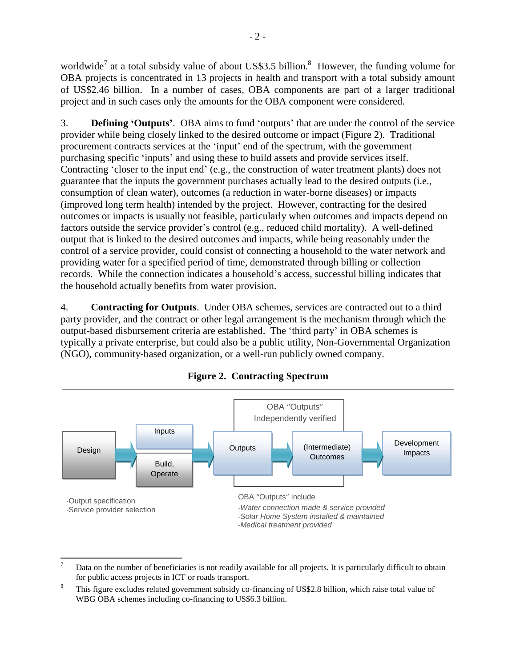worldwide<sup>7</sup> at a total subsidy value of about US\$3.5 billion.<sup>8</sup> However, the funding volume for OBA projects is concentrated in 13 projects in health and transport with a total subsidy amount of US\$2.46 billion. In a number of cases, OBA components are part of a larger traditional project and in such cases only the amounts for the OBA component were considered.

3. **Defining "Outputs"**. OBA aims to fund ‗outputs' that are under the control of the service provider while being closely linked to the desired outcome or impact (Figure 2). Traditional procurement contracts services at the ‗input' end of the spectrum, with the government purchasing specific ‗inputs' and using these to build assets and provide services itself. Contracting 'closer to the input end' (e.g., the construction of water treatment plants) does not guarantee that the inputs the government purchases actually lead to the desired outputs (i.e., consumption of clean water), outcomes (a reduction in water-borne diseases) or impacts (improved long term health) intended by the project. However, contracting for the desired outcomes or impacts is usually not feasible, particularly when outcomes and impacts depend on factors outside the service provider's control (e.g., reduced child mortality). A well-defined output that is linked to the desired outcomes and impacts, while being reasonably under the control of a service provider, could consist of connecting a household to the water network and providing water for a specified period of time, demonstrated through billing or collection records. While the connection indicates a household's access, successful billing indicates that the household actually benefits from water provision.

4. **Contracting for Outputs**. Under OBA schemes, services are contracted out to a third party provider, and the contract or other legal arrangement is the mechanism through which the output-based disbursement criteria are established. The 'third party' in OBA schemes is typically a private enterprise, but could also be a public utility, Non-Governmental Organization (NGO), community-based organization, or a well-run publicly owned company.



**Figure 2. Contracting Spectrum**

 $\overline{\phantom{a}}$ Data on the number of beneficiaries is not readily available for all projects. It is particularly difficult to obtain for public access projects in ICT or roads transport.

This figure excludes related government subsidy co-financing of US\$2.8 billion, which raise total value of WBG OBA schemes including co-financing to US\$6.3 billion.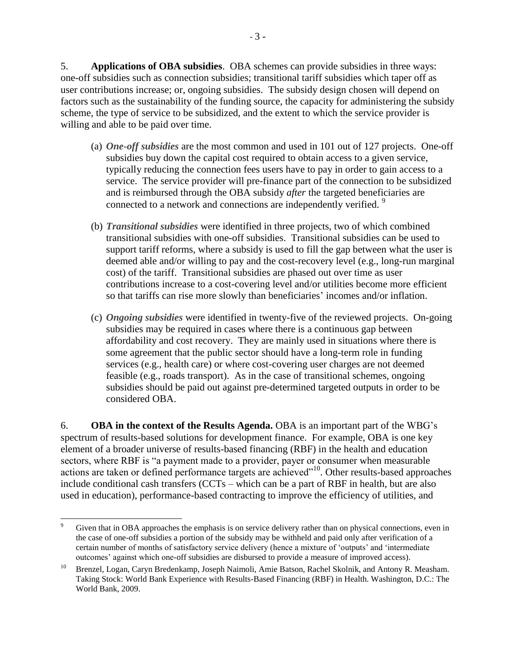5. **Applications of OBA subsidies**. OBA schemes can provide subsidies in three ways: one-off subsidies such as connection subsidies; transitional tariff subsidies which taper off as user contributions increase; or, ongoing subsidies. The subsidy design chosen will depend on factors such as the sustainability of the funding source, the capacity for administering the subsidy scheme, the type of service to be subsidized, and the extent to which the service provider is willing and able to be paid over time.

- (a) *One-off subsidies* are the most common and used in 101 out of 127 projects. One-off subsidies buy down the capital cost required to obtain access to a given service, typically reducing the connection fees users have to pay in order to gain access to a service. The service provider will pre-finance part of the connection to be subsidized and is reimbursed through the OBA subsidy *after* the targeted beneficiaries are connected to a network and connections are independently verified.<sup>9</sup>
- (b) *Transitional subsidies* were identified in three projects, two of which combined transitional subsidies with one-off subsidies. Transitional subsidies can be used to support tariff reforms, where a subsidy is used to fill the gap between what the user is deemed able and/or willing to pay and the cost-recovery level (e.g., long-run marginal cost) of the tariff. Transitional subsidies are phased out over time as user contributions increase to a cost-covering level and/or utilities become more efficient so that tariffs can rise more slowly than beneficiaries' incomes and/or inflation.
- (c) *Ongoing subsidies* were identified in twenty-five of the reviewed projects. On-going subsidies may be required in cases where there is a continuous gap between affordability and cost recovery. They are mainly used in situations where there is some agreement that the public sector should have a long-term role in funding services (e.g., health care) or where cost-covering user charges are not deemed feasible (e.g., roads transport). As in the case of transitional schemes, ongoing subsidies should be paid out against pre-determined targeted outputs in order to be considered OBA.

6. **OBA in the context of the Results Agenda.** OBA is an important part of the WBG's spectrum of results-based solutions for development finance. For example, OBA is one key element of a broader universe of results-based financing (RBF) in the health and education sectors, where RBF is "a payment made to a provider, payer or consumer when measurable actions are taken or defined performance targets are achieved"<sup>10</sup>. Other results-based approaches include conditional cash transfers (CCTs – which can be a part of RBF in health, but are also used in education), performance-based contracting to improve the efficiency of utilities, and

l Given that in OBA approaches the emphasis is on service delivery rather than on physical connections, even in the case of one-off subsidies a portion of the subsidy may be withheld and paid only after verification of a certain number of months of satisfactory service delivery (hence a mixture of 'outputs' and 'intermediate outcomes' against which one-off subsidies are disbursed to provide a measure of improved access).

<sup>&</sup>lt;sup>10</sup> Brenzel, Logan, Caryn Bredenkamp, Joseph Naimoli, Amie Batson, Rachel Skolnik, and Antony R. Measham. Taking Stock: World Bank Experience with Results-Based Financing (RBF) in Health. Washington, D.C.: The World Bank, 2009.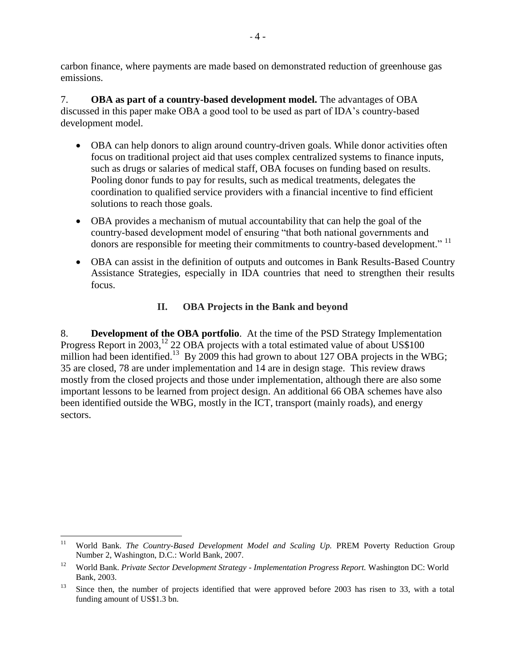carbon finance, where payments are made based on demonstrated reduction of greenhouse gas emissions.

7. **OBA as part of a country-based development model.** The advantages of OBA discussed in this paper make OBA a good tool to be used as part of IDA's country-based development model.

- OBA can help donors to align around country-driven goals. While donor activities often focus on traditional project aid that uses complex centralized systems to finance inputs, such as drugs or salaries of medical staff, OBA focuses on funding based on results. Pooling donor funds to pay for results, such as medical treatments, delegates the coordination to qualified service providers with a financial incentive to find efficient solutions to reach those goals.
- OBA provides a mechanism of mutual accountability that can help the goal of the country-based development model of ensuring "that both national governments and donors are responsible for meeting their commitments to country-based development."<sup>11</sup>
- OBA can assist in the definition of outputs and outcomes in Bank Results-Based Country Assistance Strategies, especially in IDA countries that need to strengthen their results focus.

## **II. OBA Projects in the Bank and beyond**

8. **Development of the OBA portfolio**. At the time of the PSD Strategy Implementation Progress Report in 2003,<sup>12</sup> 22 OBA projects with a total estimated value of about US\$100 million had been identified.<sup>13</sup> By 2009 this had grown to about 127 OBA projects in the WBG; 35 are closed, 78 are under implementation and 14 are in design stage. This review draws mostly from the closed projects and those under implementation, although there are also some important lessons to be learned from project design. An additional 66 OBA schemes have also been identified outside the WBG, mostly in the ICT, transport (mainly roads), and energy sectors.

 $11$ <sup>11</sup> World Bank. *The Country-Based Development Model and Scaling Up.* PREM Poverty Reduction Group Number 2, Washington, D.C.: World Bank, 2007.

<sup>12</sup> World Bank. *Private Sector Development Strategy - Implementation Progress Report.* Washington DC: World Bank, 2003.

<sup>&</sup>lt;sup>13</sup> Since then, the number of projects identified that were approved before 2003 has risen to 33, with a total funding amount of US\$1.3 bn.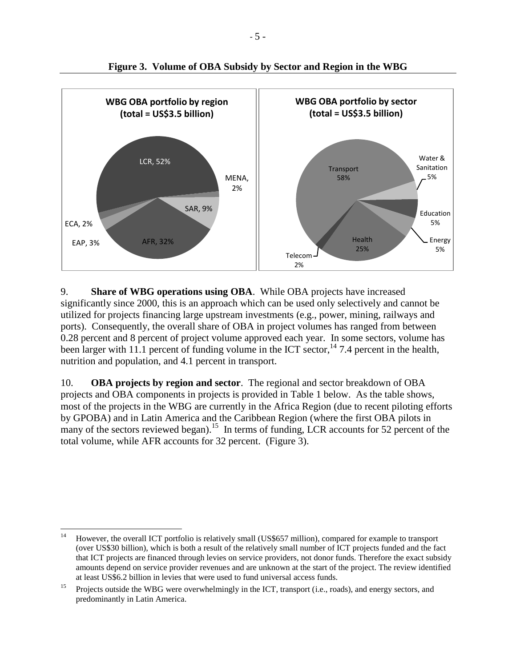

**Figure 3. Volume of OBA Subsidy by Sector and Region in the WBG**

9. **Share of WBG operations using OBA**. While OBA projects have increased significantly since 2000, this is an approach which can be used only selectively and cannot be utilized for projects financing large upstream investments (e.g., power, mining, railways and ports). Consequently, the overall share of OBA in project volumes has ranged from between 0.28 percent and 8 percent of project volume approved each year. In some sectors, volume has been larger with 11.1 percent of funding volume in the ICT sector,  $14$  7.4 percent in the health, nutrition and population, and 4.1 percent in transport.

10. **OBA projects by region and sector**. The regional and sector breakdown of OBA projects and OBA components in projects is provided in Table 1 below. As the table shows, most of the projects in the WBG are currently in the Africa Region (due to recent piloting efforts by GPOBA) and in Latin America and the Caribbean Region (where the first OBA pilots in many of the sectors reviewed began).<sup>15</sup> In terms of funding, LCR accounts for 52 percent of the total volume, while AFR accounts for 32 percent. (Figure 3).

 $14\,$ <sup>14</sup> However, the overall ICT portfolio is relatively small (US\$657 million), compared for example to transport (over US\$30 billion), which is both a result of the relatively small number of ICT projects funded and the fact that ICT projects are financed through levies on service providers, not donor funds. Therefore the exact subsidy amounts depend on service provider revenues and are unknown at the start of the project. The review identified at least US\$6.2 billion in levies that were used to fund universal access funds.

<sup>&</sup>lt;sup>15</sup> Projects outside the WBG were overwhelmingly in the ICT, transport (i.e., roads), and energy sectors, and predominantly in Latin America.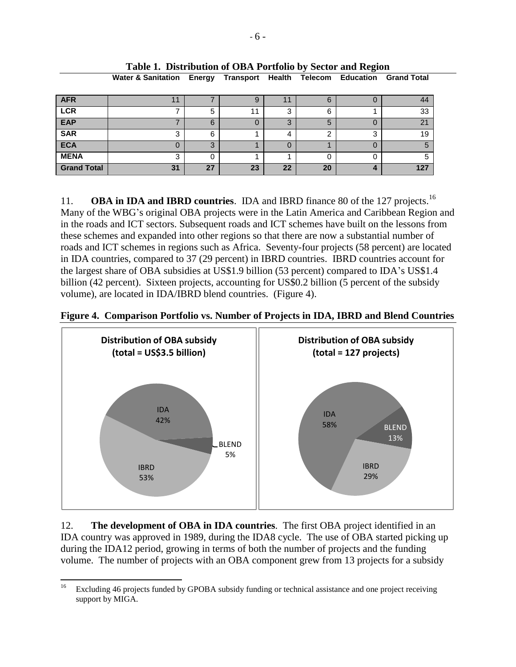| <b>AFR</b>         |    |    |    |        |    |   | 44  |
|--------------------|----|----|----|--------|----|---|-----|
| <b>LCR</b>         |    | 5  | 44 | ◠<br>w | 6  |   | 33  |
| <b>EAP</b>         |    | 6  |    | ◠<br>د | O  |   | 21  |
| <b>SAR</b>         | J  | 6  |    | 4      |    | ◠ | 19  |
| <b>ECA</b>         |    |    |    | $\cup$ |    |   |     |
| <b>MENA</b>        |    |    |    |        |    |   | 5   |
| <b>Grand Total</b> | 31 | 27 | 23 | 22     | 20 |   | 127 |

#### **Table 1. Distribution of OBA Portfolio by Sector and Region Water & Sanitation Energy Transport Health Telecom Education Grand Total**

11. **OBA in IDA and IBRD countries**. IDA and IBRD finance 80 of the 127 projects.<sup>16</sup> Many of the WBG's original OBA projects were in the Latin America and Caribbean Region and in the roads and ICT sectors. Subsequent roads and ICT schemes have built on the lessons from these schemes and expanded into other regions so that there are now a substantial number of roads and ICT schemes in regions such as Africa. Seventy-four projects (58 percent) are located in IDA countries, compared to 37 (29 percent) in IBRD countries. IBRD countries account for the largest share of OBA subsidies at US\$1.9 billion (53 percent) compared to IDA's US\$1.4 billion (42 percent). Sixteen projects, accounting for US\$0.2 billion (5 percent of the subsidy volume), are located in IDA/IBRD blend countries. (Figure 4).

#### **Figure 4. Comparison Portfolio vs. Number of Projects in IDA, IBRD and Blend Countries**



12. **The development of OBA in IDA countries**. The first OBA project identified in an IDA country was approved in 1989, during the IDA8 cycle. The use of OBA started picking up during the IDA12 period, growing in terms of both the number of projects and the funding volume. The number of projects with an OBA component grew from 13 projects for a subsidy

<sup>16</sup> Excluding 46 projects funded by GPOBA subsidy funding or technical assistance and one project receiving support by MIGA.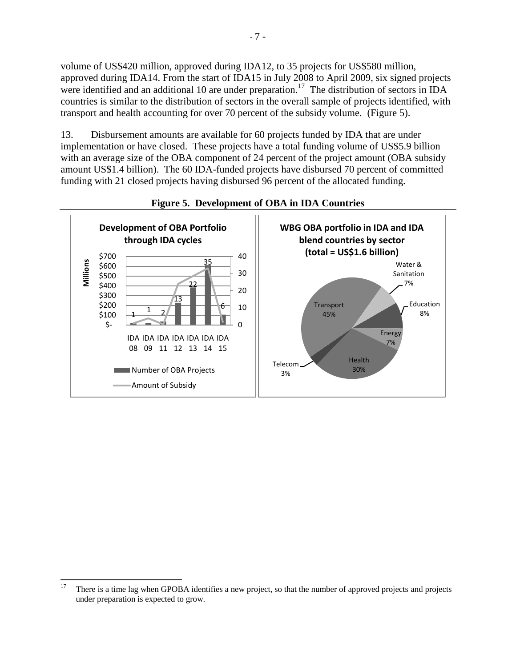volume of US\$420 million, approved during IDA12, to 35 projects for US\$580 million, approved during IDA14. From the start of IDA15 in July 2008 to April 2009, six signed projects were identified and an additional 10 are under preparation.<sup>17</sup> The distribution of sectors in IDA countries is similar to the distribution of sectors in the overall sample of projects identified, with transport and health accounting for over 70 percent of the subsidy volume. (Figure 5).

13. Disbursement amounts are available for 60 projects funded by IDA that are under implementation or have closed. These projects have a total funding volume of US\$5.9 billion with an average size of the OBA component of 24 percent of the project amount (OBA subsidy amount US\$1.4 billion). The 60 IDA-funded projects have disbursed 70 percent of committed funding with 21 closed projects having disbursed 96 percent of the allocated funding.



#### **Figure 5. Development of OBA in IDA Countries**

 $17$ There is a time lag when GPOBA identifies a new project, so that the number of approved projects and projects under preparation is expected to grow.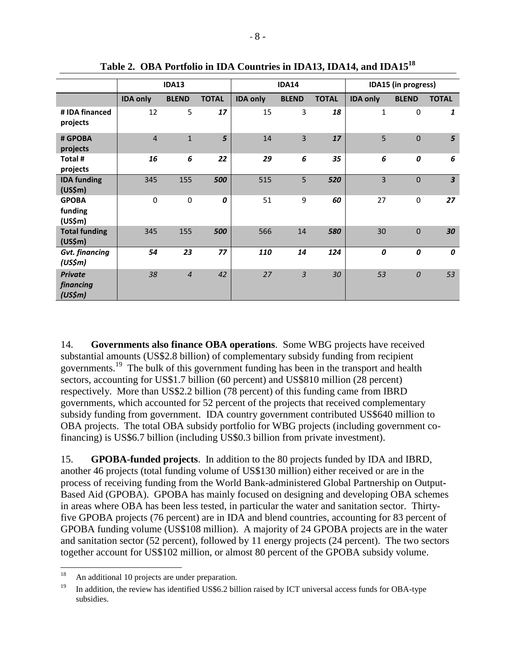|                                                     | <b>IDA13</b>    |                  |              | <b>IDA14</b>    |                |              | IDA15 (in progress) |                |                         |
|-----------------------------------------------------|-----------------|------------------|--------------|-----------------|----------------|--------------|---------------------|----------------|-------------------------|
|                                                     | <b>IDA only</b> | <b>BLEND</b>     | <b>TOTAL</b> | <b>IDA only</b> | <b>BLEND</b>   | <b>TOTAL</b> | <b>IDA only</b>     | <b>BLEND</b>   | <b>TOTAL</b>            |
| # IDA financed<br>projects                          | 12              | 5                | 17           | 15              | 3              | 18           | $\mathbf{1}$        | $\mathbf 0$    | 1                       |
| # GPOBA<br>projects                                 | $\overline{4}$  | $\mathbf{1}$     | 5            | 14              | $\overline{3}$ | 17           | 5                   | $\mathbf 0$    | 5                       |
| Total #<br>projects                                 | 16              | 6                | 22           | 29              | 6              | 35           | 6                   | 0              | 6                       |
| <b>IDA funding</b><br>(US\$m)                       | 345             | 155              | 500          | 515             | 5              | 520          | $\overline{3}$      | $\mathbf 0$    | $\overline{\mathbf{3}}$ |
| <b>GPOBA</b><br>funding<br>(US\$m)                  | $\mathbf 0$     | $\boldsymbol{0}$ | 0            | 51              | 9              | 60           | 27                  | $\mathbf 0$    | 27                      |
| <b>Total funding</b><br>(US\$m)                     | 345             | 155              | 500          | 566             | 14             | 580          | 30                  | $\mathbf 0$    | 30                      |
| <b>Gvt.</b> financing<br>(US\$m)                    | 54              | 23               | 77           | 110             | 14             | 124          | 0                   | 0              | 0                       |
| <b>Private</b><br>financing<br>(US\$ <sub>m</sub> ) | 38              | $\overline{4}$   | 42           | 27              | $\overline{3}$ | 30           | 53                  | $\overline{0}$ | 53                      |

**Table 2. OBA Portfolio in IDA Countries in IDA13, IDA14, and IDA15<sup>18</sup>**

14. **Governments also finance OBA operations**. Some WBG projects have received substantial amounts (US\$2.8 billion) of complementary subsidy funding from recipient governments. <sup>19</sup> The bulk of this government funding has been in the transport and health sectors, accounting for US\$1.7 billion (60 percent) and US\$810 million (28 percent) respectively. More than US\$2.2 billion (78 percent) of this funding came from IBRD governments, which accounted for 52 percent of the projects that received complementary subsidy funding from government. IDA country government contributed US\$640 million to OBA projects. The total OBA subsidy portfolio for WBG projects (including government cofinancing) is US\$6.7 billion (including US\$0.3 billion from private investment).

15. **GPOBA-funded projects**. In addition to the 80 projects funded by IDA and IBRD, another 46 projects (total funding volume of US\$130 million) either received or are in the process of receiving funding from the World Bank-administered Global Partnership on Output**-**Based Aid (GPOBA). GPOBA has mainly focused on designing and developing OBA schemes in areas where OBA has been less tested, in particular the water and sanitation sector. Thirtyfive GPOBA projects (76 percent) are in IDA and blend countries, accounting for 83 percent of GPOBA funding volume (US\$108 million). A majority of 24 GPOBA projects are in the water and sanitation sector (52 percent), followed by 11 energy projects (24 percent). The two sectors together account for US\$102 million, or almost 80 percent of the GPOBA subsidy volume.

<sup>18</sup> An additional 10 projects are under preparation.

<sup>&</sup>lt;sup>19</sup> In addition, the review has identified US\$6.2 billion raised by ICT universal access funds for OBA-type subsidies.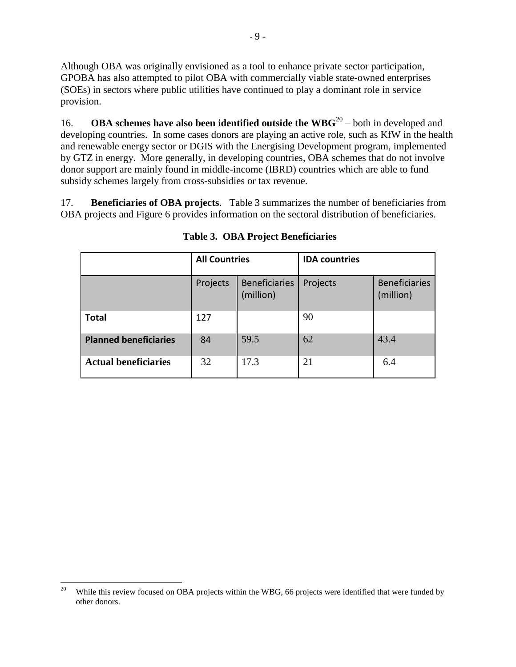Although OBA was originally envisioned as a tool to enhance private sector participation, GPOBA has also attempted to pilot OBA with commercially viable state-owned enterprises (SOEs) in sectors where public utilities have continued to play a dominant role in service provision.

16. **OBA schemes have also been identified outside the WBG**<sup>20</sup> – both in developed and developing countries. In some cases donors are playing an active role, such as KfW in the health and renewable energy sector or DGIS with the Energising Development program, implemented by GTZ in energy. More generally, in developing countries, OBA schemes that do not involve donor support are mainly found in middle-income (IBRD) countries which are able to fund subsidy schemes largely from cross-subsidies or tax revenue.

17. **Beneficiaries of OBA projects**. Table 3 summarizes the number of beneficiaries from OBA projects and Figure 6 provides information on the sectoral distribution of beneficiaries.

|                              | <b>All Countries</b> |                                   | <b>IDA</b> countries |                                   |  |
|------------------------------|----------------------|-----------------------------------|----------------------|-----------------------------------|--|
|                              | Projects             | <b>Beneficiaries</b><br>(million) | Projects             | <b>Beneficiaries</b><br>(million) |  |
| <b>Total</b>                 | 127                  |                                   | 90                   |                                   |  |
| <b>Planned beneficiaries</b> | 84                   | 59.5                              | 62                   | 43.4                              |  |
| <b>Actual beneficiaries</b>  | 32                   | 17.3                              | 21                   | 6.4                               |  |

**Table 3. OBA Project Beneficiaries**

 $20\,$ While this review focused on OBA projects within the WBG, 66 projects were identified that were funded by other donors.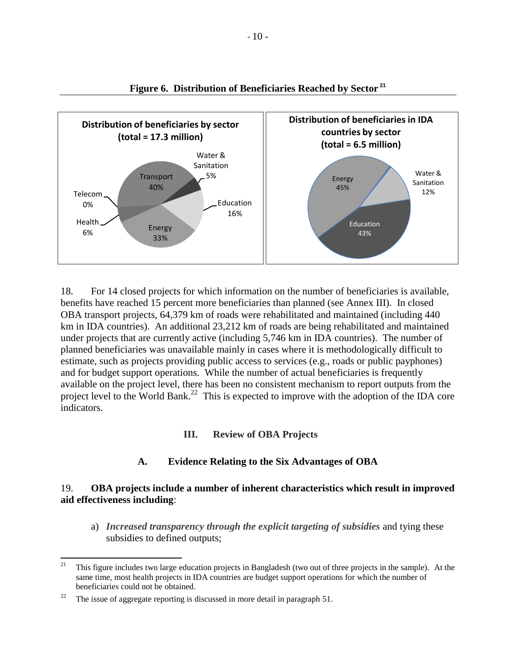

**Figure 6. Distribution of Beneficiaries Reached by Sector <sup>21</sup>**

18. For 14 closed projects for which information on the number of beneficiaries is available, benefits have reached 15 percent more beneficiaries than planned (see Annex III). In closed OBA transport projects, 64,379 km of roads were rehabilitated and maintained (including 440 km in IDA countries). An additional 23,212 km of roads are being rehabilitated and maintained under projects that are currently active (including 5,746 km in IDA countries). The number of planned beneficiaries was unavailable mainly in cases where it is methodologically difficult to estimate, such as projects providing public access to services (e.g., roads or public payphones) and for budget support operations. While the number of actual beneficiaries is frequently available on the project level, there has been no consistent mechanism to report outputs from the project level to the World Bank.<sup>22</sup> This is expected to improve with the adoption of the IDA core indicators.

#### **III. Review of OBA Projects**

#### **A. Evidence Relating to the Six Advantages of OBA**

#### 19. **OBA projects include a number of inherent characteristics which result in improved aid effectiveness including**:

a) *Increased transparency through the explicit targeting of subsidies* and tying these subsidies to defined outputs;

<sup>21</sup> <sup>21</sup> This figure includes two large education projects in Bangladesh (two out of three projects in the sample). At the same time, most health projects in IDA countries are budget support operations for which the number of beneficiaries could not be obtained.

<sup>&</sup>lt;sup>22</sup> The issue of aggregate reporting is discussed in more detail in paragraph 51.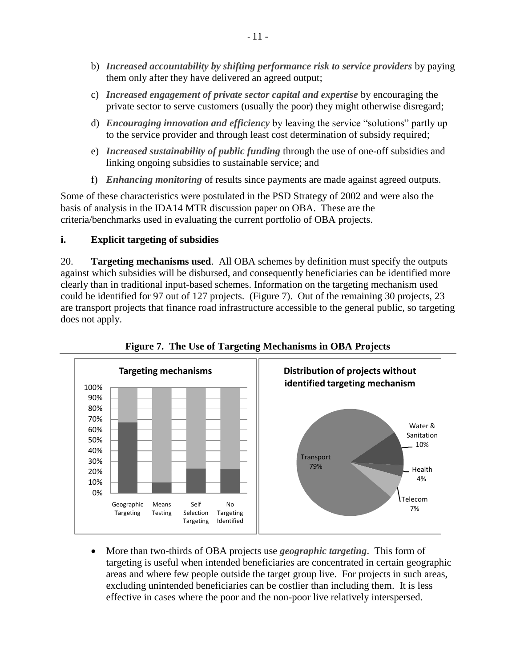- b) *Increased accountability by shifting performance risk to service providers* by paying them only after they have delivered an agreed output;
- c) *Increased engagement of private sector capital and expertise* by encouraging the private sector to serve customers (usually the poor) they might otherwise disregard;
- d) *Encouraging innovation and efficiency* by leaving the service "solutions" partly up to the service provider and through least cost determination of subsidy required;
- e) *Increased sustainability of public funding* through the use of one-off subsidies and linking ongoing subsidies to sustainable service; and
- f) *Enhancing monitoring* of results since payments are made against agreed outputs.

Some of these characteristics were postulated in the PSD Strategy of 2002 and were also the basis of analysis in the IDA14 MTR discussion paper on OBA. These are the criteria/benchmarks used in evaluating the current portfolio of OBA projects.

## **i. Explicit targeting of subsidies**

20. **Targeting mechanisms used**. All OBA schemes by definition must specify the outputs against which subsidies will be disbursed, and consequently beneficiaries can be identified more clearly than in traditional input-based schemes. Information on the targeting mechanism used could be identified for 97 out of 127 projects. (Figure 7). Out of the remaining 30 projects, 23 are transport projects that finance road infrastructure accessible to the general public, so targeting does not apply.



**Figure 7. The Use of Targeting Mechanisms in OBA Projects**

 More than two-thirds of OBA projects use *geographic targeting*. This form of targeting is useful when intended beneficiaries are concentrated in certain geographic areas and where few people outside the target group live. For projects in such areas, excluding unintended beneficiaries can be costlier than including them. It is less effective in cases where the poor and the non-poor live relatively interspersed.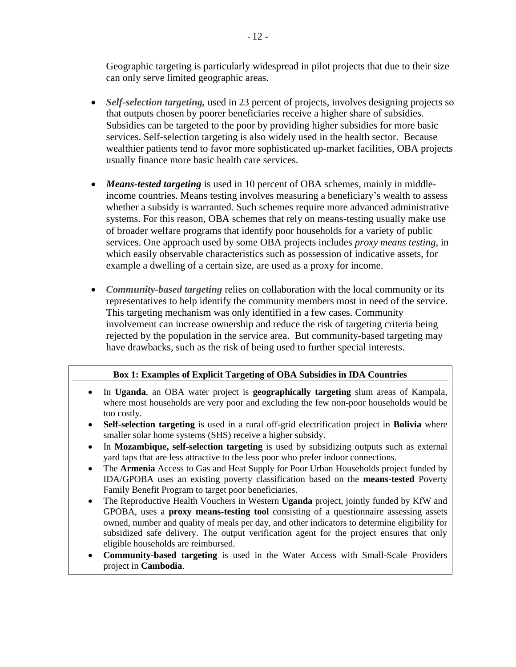Geographic targeting is particularly widespread in pilot projects that due to their size can only serve limited geographic areas.

- *Self-selection targeting,* used in 23 percent of projects, involves designing projects so that outputs chosen by poorer beneficiaries receive a higher share of subsidies. Subsidies can be targeted to the poor by providing higher subsidies for more basic services. Self-selection targeting is also widely used in the health sector. Because wealthier patients tend to favor more sophisticated up-market facilities, OBA projects usually finance more basic health care services.
- *Means-tested targeting* is used in 10 percent of OBA schemes, mainly in middleincome countries. Means testing involves measuring a beneficiary's wealth to assess whether a subsidy is warranted. Such schemes require more advanced administrative systems. For this reason, OBA schemes that rely on means-testing usually make use of broader welfare programs that identify poor households for a variety of public services. One approach used by some OBA projects includes *proxy means testing*, in which easily observable characteristics such as possession of indicative assets, for example a dwelling of a certain size, are used as a proxy for income.
- *Community-based targeting* relies on collaboration with the local community or its representatives to help identify the community members most in need of the service. This targeting mechanism was only identified in a few cases. Community involvement can increase ownership and reduce the risk of targeting criteria being rejected by the population in the service area. But community-based targeting may have drawbacks, such as the risk of being used to further special interests.

#### **Box 1: Examples of Explicit Targeting of OBA Subsidies in IDA Countries**

- In **Uganda**, an OBA water project is **geographically targeting** slum areas of Kampala, where most households are very poor and excluding the few non-poor households would be too costly.
- **Self-selection targeting** is used in a rural off-grid electrification project in **Bolivia** where smaller solar home systems (SHS) receive a higher subsidy.
- In **Mozambique, self-selection targeting** is used by subsidizing outputs such as external yard taps that are less attractive to the less poor who prefer indoor connections.
- The **Armenia** Access to Gas and Heat Supply for Poor Urban Households project funded by IDA/GPOBA uses an existing poverty classification based on the **means-tested** Poverty Family Benefit Program to target poor beneficiaries.
- The Reproductive Health Vouchers in Western **Uganda** project, jointly funded by KfW and GPOBA, uses a **proxy means-testing tool** consisting of a questionnaire assessing assets owned, number and quality of meals per day, and other indicators to determine eligibility for subsidized safe delivery. The output verification agent for the project ensures that only eligible households are reimbursed.
- **Community-based targeting** is used in the Water Access with Small-Scale Providers project in **Cambodia**.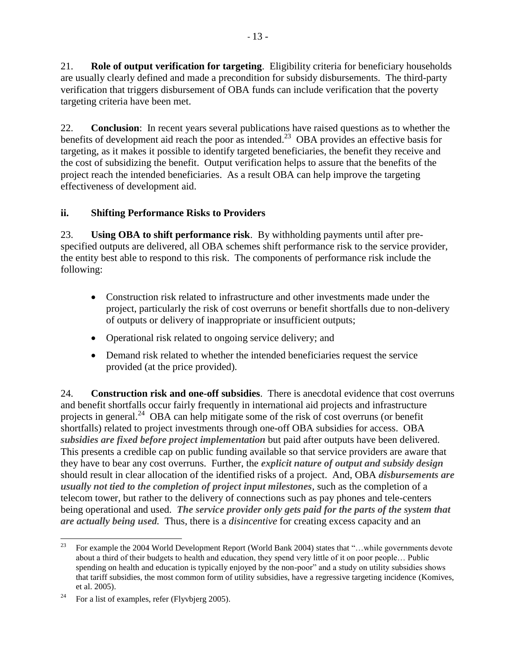21. **Role of output verification for targeting**. Eligibility criteria for beneficiary households are usually clearly defined and made a precondition for subsidy disbursements. The third-party verification that triggers disbursement of OBA funds can include verification that the poverty targeting criteria have been met.

22. **Conclusion**: In recent years several publications have raised questions as to whether the benefits of development aid reach the poor as intended.<sup>23</sup> OBA provides an effective basis for targeting, as it makes it possible to identify targeted beneficiaries, the benefit they receive and the cost of subsidizing the benefit. Output verification helps to assure that the benefits of the project reach the intended beneficiaries. As a result OBA can help improve the targeting effectiveness of development aid.

## **ii. Shifting Performance Risks to Providers**

23. **Using OBA to shift performance risk**. By withholding payments until after prespecified outputs are delivered, all OBA schemes shift performance risk to the service provider, the entity best able to respond to this risk. The components of performance risk include the following:

- Construction risk related to infrastructure and other investments made under the project, particularly the risk of cost overruns or benefit shortfalls due to non-delivery of outputs or delivery of inappropriate or insufficient outputs;
- Operational risk related to ongoing service delivery; and
- Demand risk related to whether the intended beneficiaries request the service provided (at the price provided).

24. **Construction risk and one-off subsidies**. There is anecdotal evidence that cost overruns and benefit shortfalls occur fairly frequently in international aid projects and infrastructure projects in general.<sup>24</sup> OBA can help mitigate some of the risk of cost overruns (or benefit shortfalls) related to project investments through one-off OBA subsidies for access. OBA *subsidies are fixed before project implementation* but paid after outputs have been delivered. This presents a credible cap on public funding available so that service providers are aware that they have to bear any cost overruns. Further, the *explicit nature of output and subsidy design* should result in clear allocation of the identified risks of a project. And, OBA *disbursements are usually not tied to the completion of project input milestones*, such as the completion of a telecom tower, but rather to the delivery of connections such as pay phones and tele-centers being operational and used. *The service provider only gets paid for the parts of the system that are actually being used.* Thus, there is a *disincentive* for creating excess capacity and an

<sup>23</sup> For example the 2004 World Development Report (World Bank 2004) states that "...while governments devote about a third of their budgets to health and education, they spend very little of it on poor people… Public spending on health and education is typically enjoyed by the non-poor" and a study on utility subsidies shows that tariff subsidies, the most common form of utility subsidies, have a regressive targeting incidence (Komives, et al. 2005).

<sup>&</sup>lt;sup>24</sup> For a list of examples, refer (Flyvbjerg 2005).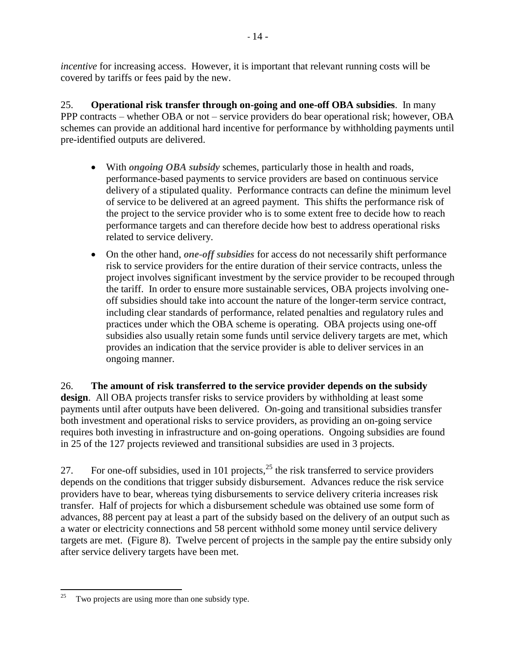*incentive* for increasing access. However, it is important that relevant running costs will be covered by tariffs or fees paid by the new.

25. **Operational risk transfer through on-going and one-off OBA subsidies**. In many PPP contracts – whether OBA or not – service providers do bear operational risk; however, OBA schemes can provide an additional hard incentive for performance by withholding payments until pre-identified outputs are delivered.

- With *ongoing OBA subsidy* schemes, particularly those in health and roads, performance-based payments to service providers are based on continuous service delivery of a stipulated quality. Performance contracts can define the minimum level of service to be delivered at an agreed payment. This shifts the performance risk of the project to the service provider who is to some extent free to decide how to reach performance targets and can therefore decide how best to address operational risks related to service delivery.
- On the other hand, *one-off subsidies* for access do not necessarily shift performance risk to service providers for the entire duration of their service contracts, unless the project involves significant investment by the service provider to be recouped through the tariff. In order to ensure more sustainable services, OBA projects involving oneoff subsidies should take into account the nature of the longer-term service contract, including clear standards of performance, related penalties and regulatory rules and practices under which the OBA scheme is operating. OBA projects using one-off subsidies also usually retain some funds until service delivery targets are met, which provides an indication that the service provider is able to deliver services in an ongoing manner.

26. **The amount of risk transferred to the service provider depends on the subsidy design**. All OBA projects transfer risks to service providers by withholding at least some payments until after outputs have been delivered. On-going and transitional subsidies transfer both investment and operational risks to service providers, as providing an on-going service requires both investing in infrastructure and on-going operations. Ongoing subsidies are found in 25 of the 127 projects reviewed and transitional subsidies are used in 3 projects.

27. For one-off subsidies, used in 101 projects,  $^{25}$  the risk transferred to service providers depends on the conditions that trigger subsidy disbursement. Advances reduce the risk service providers have to bear, whereas tying disbursements to service delivery criteria increases risk transfer. Half of projects for which a disbursement schedule was obtained use some form of advances, 88 percent pay at least a part of the subsidy based on the delivery of an output such as a water or electricity connections and 58 percent withhold some money until service delivery targets are met. (Figure 8). Twelve percent of projects in the sample pay the entire subsidy only after service delivery targets have been met.

<sup>25</sup> Two projects are using more than one subsidy type.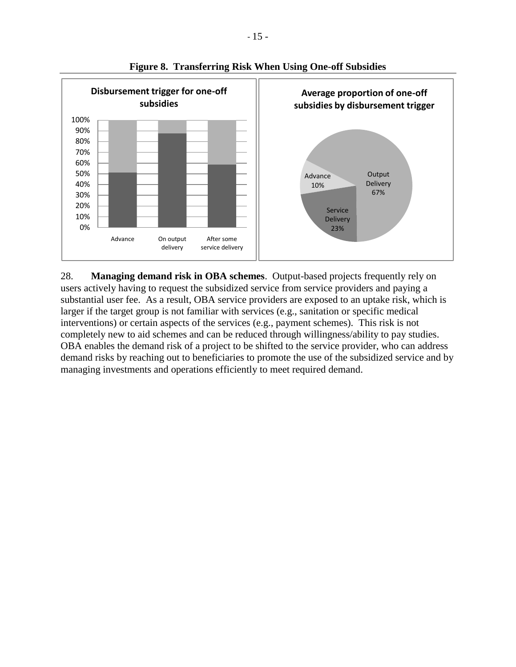

**Figure 8. Transferring Risk When Using One-off Subsidies**

28. **Managing demand risk in OBA schemes**. Output-based projects frequently rely on users actively having to request the subsidized service from service providers and paying a substantial user fee. As a result, OBA service providers are exposed to an uptake risk, which is larger if the target group is not familiar with services (e.g., sanitation or specific medical interventions) or certain aspects of the services (e.g., payment schemes). This risk is not completely new to aid schemes and can be reduced through willingness/ability to pay studies. OBA enables the demand risk of a project to be shifted to the service provider, who can address demand risks by reaching out to beneficiaries to promote the use of the subsidized service and by managing investments and operations efficiently to meet required demand.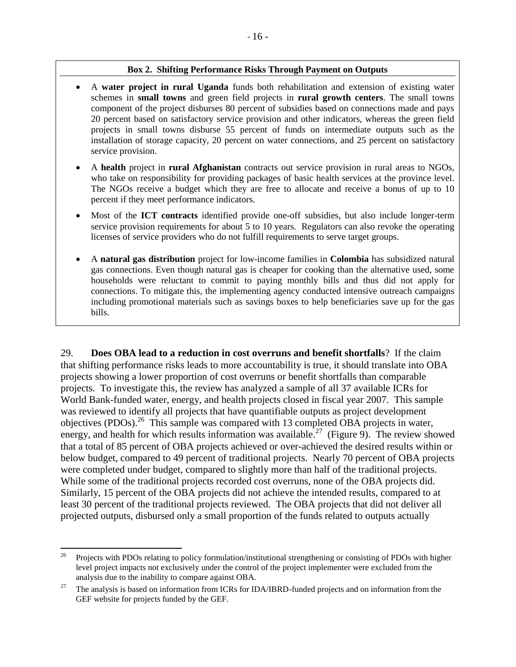#### **Box 2. Shifting Performance Risks Through Payment on Outputs**

- A **water project in rural Uganda** funds both rehabilitation and extension of existing water schemes in **small towns** and green field projects in **rural growth centers**. The small towns component of the project disburses 80 percent of subsidies based on connections made and pays 20 percent based on satisfactory service provision and other indicators, whereas the green field projects in small towns disburse 55 percent of funds on intermediate outputs such as the installation of storage capacity, 20 percent on water connections, and 25 percent on satisfactory service provision.
- A **health** project in **rural Afghanistan** contracts out service provision in rural areas to NGOs, who take on responsibility for providing packages of basic health services at the province level. The NGOs receive a budget which they are free to allocate and receive a bonus of up to 10 percent if they meet performance indicators.
- Most of the **ICT contracts** identified provide one-off subsidies, but also include longer-term service provision requirements for about 5 to 10 years. Regulators can also revoke the operating licenses of service providers who do not fulfill requirements to serve target groups.
- A **natural gas distribution** project for low-income families in **Colombia** has subsidized natural gas connections. Even though natural gas is cheaper for cooking than the alternative used, some households were reluctant to commit to paying monthly bills and thus did not apply for connections. To mitigate this, the implementing agency conducted intensive outreach campaigns including promotional materials such as savings boxes to help beneficiaries save up for the gas bills.

29. **Does OBA lead to a reduction in cost overruns and benefit shortfalls**? If the claim that shifting performance risks leads to more accountability is true, it should translate into OBA projects showing a lower proportion of cost overruns or benefit shortfalls than comparable projects. To investigate this, the review has analyzed a sample of all 37 available ICRs for World Bank-funded water, energy, and health projects closed in fiscal year 2007. This sample was reviewed to identify all projects that have quantifiable outputs as project development objectives (PDOs).<sup>26</sup> This sample was compared with 13 completed OBA projects in water, energy, and health for which results information was available.<sup>27</sup> (Figure 9). The review showed that a total of 85 percent of OBA projects achieved or over-achieved the desired results within or below budget, compared to 49 percent of traditional projects. Nearly 70 percent of OBA projects were completed under budget, compared to slightly more than half of the traditional projects. While some of the traditional projects recorded cost overruns, none of the OBA projects did. Similarly, 15 percent of the OBA projects did not achieve the intended results, compared to at least 30 percent of the traditional projects reviewed. The OBA projects that did not deliver all projected outputs, disbursed only a small proportion of the funds related to outputs actually

 $26\overline{)}$ <sup>26</sup> Projects with PDOs relating to policy formulation/institutional strengthening or consisting of PDOs with higher level project impacts not exclusively under the control of the project implementer were excluded from the analysis due to the inability to compare against OBA.

<sup>&</sup>lt;sup>27</sup> The analysis is based on information from ICRs for IDA/IBRD-funded projects and on information from the GEF website for projects funded by the GEF.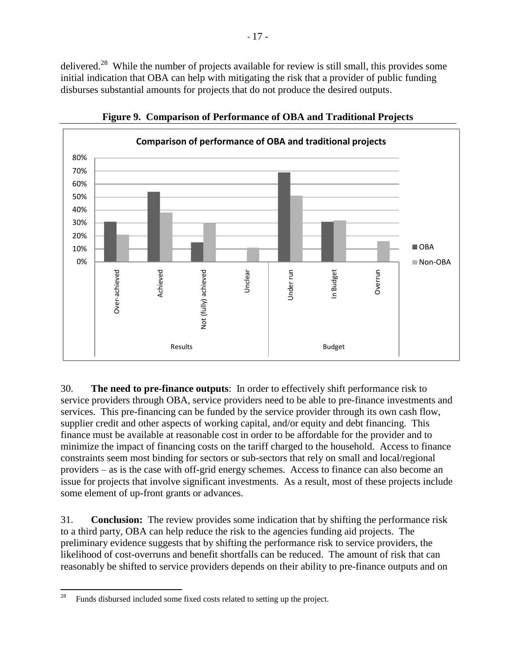delivered.<sup>28</sup> While the number of projects available for review is still small, this provides some initial indication that OBA can help with mitigating the risk that a provider of public funding disburses substantial amounts for projects that do not produce the desired outputs.



**Figure 9. Comparison of Performance of OBA and Traditional Projects**

30. **The need to pre-finance outputs**: In order to effectively shift performance risk to service providers through OBA, service providers need to be able to pre-finance investments and services. This pre-financing can be funded by the service provider through its own cash flow, supplier credit and other aspects of working capital, and/or equity and debt financing. This finance must be available at reasonable cost in order to be affordable for the provider and to minimize the impact of financing costs on the tariff charged to the household. Access to finance constraints seem most binding for sectors or sub-sectors that rely on small and local/regional providers – as is the case with off-grid energy schemes. Access to finance can also become an issue for projects that involve significant investments. As a result, most of these projects include some element of up-front grants or advances.

31. **Conclusion:** The review provides some indication that by shifting the performance risk to a third party, OBA can help reduce the risk to the agencies funding aid projects. The preliminary evidence suggests that by shifting the performance risk to service providers, the likelihood of cost-overruns and benefit shortfalls can be reduced. The amount of risk that can reasonably be shifted to service providers depends on their ability to pre-finance outputs and on

<sup>28</sup> Funds disbursed included some fixed costs related to setting up the project.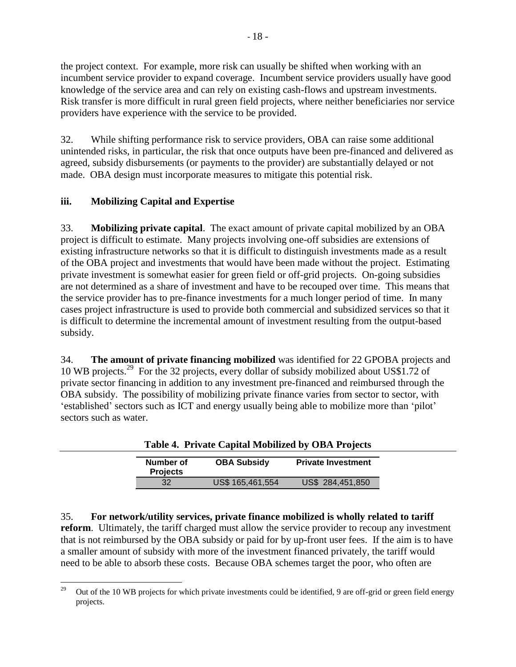the project context. For example, more risk can usually be shifted when working with an incumbent service provider to expand coverage. Incumbent service providers usually have good knowledge of the service area and can rely on existing cash-flows and upstream investments. Risk transfer is more difficult in rural green field projects, where neither beneficiaries nor service providers have experience with the service to be provided.

32. While shifting performance risk to service providers, OBA can raise some additional unintended risks, in particular, the risk that once outputs have been pre-financed and delivered as agreed, subsidy disbursements (or payments to the provider) are substantially delayed or not made. OBA design must incorporate measures to mitigate this potential risk.

## **iii. Mobilizing Capital and Expertise**

33. **Mobilizing private capital**. The exact amount of private capital mobilized by an OBA project is difficult to estimate. Many projects involving one-off subsidies are extensions of existing infrastructure networks so that it is difficult to distinguish investments made as a result of the OBA project and investments that would have been made without the project. Estimating private investment is somewhat easier for green field or off-grid projects. On-going subsidies are not determined as a share of investment and have to be recouped over time. This means that the service provider has to pre-finance investments for a much longer period of time. In many cases project infrastructure is used to provide both commercial and subsidized services so that it is difficult to determine the incremental amount of investment resulting from the output-based subsidy.

34. **The amount of private financing mobilized** was identified for 22 GPOBA projects and 10 WB projects. <sup>29</sup> For the 32 projects, every dollar of subsidy mobilized about US\$1.72 of private sector financing in addition to any investment pre-financed and reimbursed through the OBA subsidy. The possibility of mobilizing private finance varies from sector to sector, with 'established' sectors such as ICT and energy usually being able to mobilize more than 'pilot' sectors such as water.

|                              |                    | Table +. THrate Capital Mobilized by ODITTIORCG |
|------------------------------|--------------------|-------------------------------------------------|
| Number of<br><b>Projects</b> | <b>OBA Subsidy</b> | <b>Private Investment</b>                       |
| 32                           | US\$ 165,461,554   | US\$ 284,451,850                                |

**Table 4. Private Capital Mobilized by OBA Projects**

35. **For network/utility services, private finance mobilized is wholly related to tariff reform**. Ultimately, the tariff charged must allow the service provider to recoup any investment that is not reimbursed by the OBA subsidy or paid for by up-front user fees. If the aim is to have a smaller amount of subsidy with more of the investment financed privately, the tariff would need to be able to absorb these costs. Because OBA schemes target the poor, who often are

<sup>29</sup> <sup>29</sup> Out of the 10 WB projects for which private investments could be identified, 9 are off-grid or green field energy projects.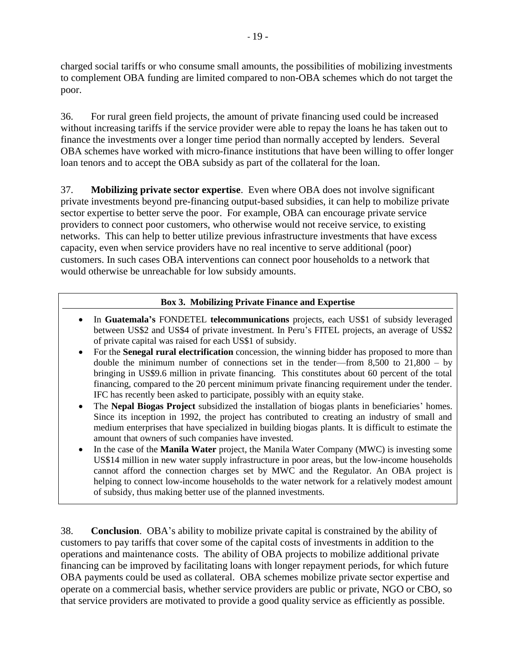charged social tariffs or who consume small amounts, the possibilities of mobilizing investments to complement OBA funding are limited compared to non-OBA schemes which do not target the poor.

36. For rural green field projects, the amount of private financing used could be increased without increasing tariffs if the service provider were able to repay the loans he has taken out to finance the investments over a longer time period than normally accepted by lenders. Several OBA schemes have worked with micro-finance institutions that have been willing to offer longer loan tenors and to accept the OBA subsidy as part of the collateral for the loan.

37. **Mobilizing private sector expertise**. Even where OBA does not involve significant private investments beyond pre-financing output-based subsidies, it can help to mobilize private sector expertise to better serve the poor. For example, OBA can encourage private service providers to connect poor customers, who otherwise would not receive service, to existing networks. This can help to better utilize previous infrastructure investments that have excess capacity, even when service providers have no real incentive to serve additional (poor) customers. In such cases OBA interventions can connect poor households to a network that would otherwise be unreachable for low subsidy amounts.

#### **Box 3. Mobilizing Private Finance and Expertise**

- In **Guatemala"s** FONDETEL **telecommunications** projects, each US\$1 of subsidy leveraged between US\$2 and US\$4 of private investment. In Peru's FITEL projects, an average of US\$2 of private capital was raised for each US\$1 of subsidy.
- For the **Senegal rural electrification** concession, the winning bidder has proposed to more than double the minimum number of connections set in the tender—from  $8,500$  to  $21,800 - by$ bringing in US\$9.6 million in private financing. This constitutes about 60 percent of the total financing, compared to the 20 percent minimum private financing requirement under the tender. IFC has recently been asked to participate, possibly with an equity stake.
- The **Nepal Biogas Project** subsidized the installation of biogas plants in beneficiaries' homes. Since its inception in 1992, the project has contributed to creating an industry of small and medium enterprises that have specialized in building biogas plants. It is difficult to estimate the amount that owners of such companies have invested.
- In the case of the **Manila Water** project, the Manila Water Company (MWC) is investing some US\$14 million in new water supply infrastructure in poor areas, but the low-income households cannot afford the connection charges set by MWC and the Regulator. An OBA project is helping to connect low-income households to the water network for a relatively modest amount of subsidy, thus making better use of the planned investments.

38. **Conclusion**. OBA's ability to mobilize private capital is constrained by the ability of customers to pay tariffs that cover some of the capital costs of investments in addition to the operations and maintenance costs. The ability of OBA projects to mobilize additional private financing can be improved by facilitating loans with longer repayment periods, for which future OBA payments could be used as collateral. OBA schemes mobilize private sector expertise and operate on a commercial basis, whether service providers are public or private, NGO or CBO, so that service providers are motivated to provide a good quality service as efficiently as possible.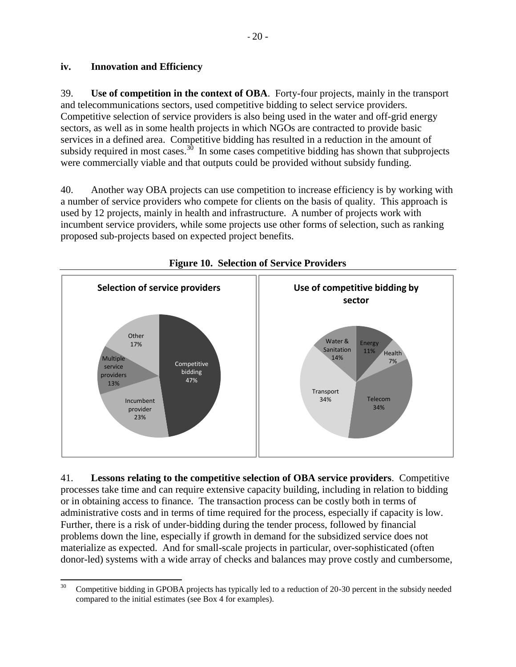#### **iv. Innovation and Efficiency**

39. **Use of competition in the context of OBA**. Forty-four projects, mainly in the transport and telecommunications sectors, used competitive bidding to select service providers. Competitive selection of service providers is also being used in the water and off-grid energy sectors, as well as in some health projects in which NGOs are contracted to provide basic services in a defined area. Competitive bidding has resulted in a reduction in the amount of subsidy required in most cases.<sup>30</sup> In some cases competitive bidding has shown that subprojects were commercially viable and that outputs could be provided without subsidy funding.

40. Another way OBA projects can use competition to increase efficiency is by working with a number of service providers who compete for clients on the basis of quality. This approach is used by 12 projects, mainly in health and infrastructure. A number of projects work with incumbent service providers, while some projects use other forms of selection, such as ranking proposed sub-projects based on expected project benefits.



## **Figure 10. Selection of Service Providers**

41. **Lessons relating to the competitive selection of OBA service providers**. Competitive processes take time and can require extensive capacity building, including in relation to bidding or in obtaining access to finance. The transaction process can be costly both in terms of administrative costs and in terms of time required for the process, especially if capacity is low. Further, there is a risk of under-bidding during the tender process, followed by financial problems down the line, especially if growth in demand for the subsidized service does not materialize as expected. And for small-scale projects in particular, over-sophisticated (often donor-led) systems with a wide array of checks and balances may prove costly and cumbersome,

 $30^{\circ}$ <sup>30</sup> Competitive bidding in GPOBA projects has typically led to a reduction of 20-30 percent in the subsidy needed compared to the initial estimates (see Box 4 for examples).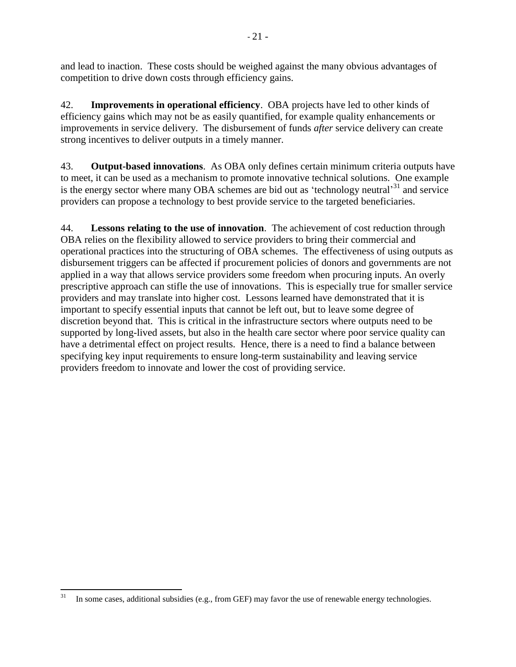and lead to inaction. These costs should be weighed against the many obvious advantages of competition to drive down costs through efficiency gains.

42. **Improvements in operational efficiency**. OBA projects have led to other kinds of efficiency gains which may not be as easily quantified, for example quality enhancements or improvements in service delivery. The disbursement of funds *after* service delivery can create strong incentives to deliver outputs in a timely manner.

43. **Output-based innovations**. As OBA only defines certain minimum criteria outputs have to meet, it can be used as a mechanism to promote innovative technical solutions. One example is the energy sector where many OBA schemes are bid out as 'technology neutral'<sup>31</sup> and service providers can propose a technology to best provide service to the targeted beneficiaries.

44. **Lessons relating to the use of innovation**. The achievement of cost reduction through OBA relies on the flexibility allowed to service providers to bring their commercial and operational practices into the structuring of OBA schemes. The effectiveness of using outputs as disbursement triggers can be affected if procurement policies of donors and governments are not applied in a way that allows service providers some freedom when procuring inputs. An overly prescriptive approach can stifle the use of innovations. This is especially true for smaller service providers and may translate into higher cost. Lessons learned have demonstrated that it is important to specify essential inputs that cannot be left out, but to leave some degree of discretion beyond that. This is critical in the infrastructure sectors where outputs need to be supported by long-lived assets, but also in the health care sector where poor service quality can have a detrimental effect on project results. Hence, there is a need to find a balance between specifying key input requirements to ensure long-term sustainability and leaving service providers freedom to innovate and lower the cost of providing service.

 $31$ In some cases, additional subsidies (e.g., from GEF) may favor the use of renewable energy technologies.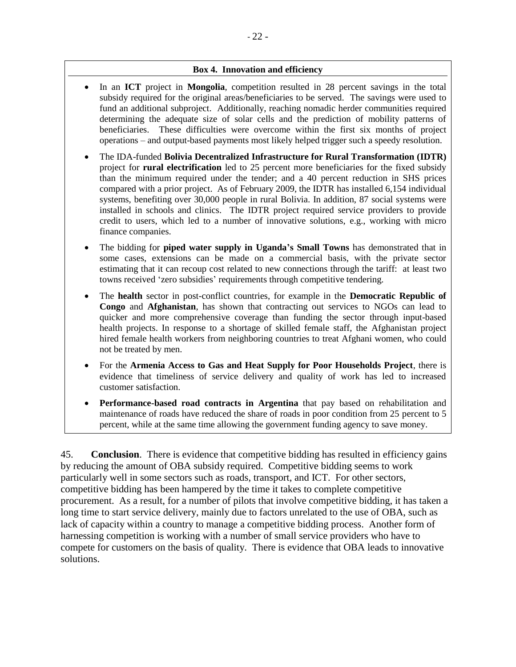#### **Box 4. Innovation and efficiency**

- In an **ICT** project in **Mongolia**, competition resulted in 28 percent savings in the total subsidy required for the original areas/beneficiaries to be served. The savings were used to fund an additional subproject. Additionally, reaching nomadic herder communities required determining the adequate size of solar cells and the prediction of mobility patterns of beneficiaries. These difficulties were overcome within the first six months of project operations – and output-based payments most likely helped trigger such a speedy resolution.
- The IDA-funded **Bolivia Decentralized Infrastructure for Rural Transformation (IDTR)** project for **rural electrification** led to 25 percent more beneficiaries for the fixed subsidy than the minimum required under the tender; and a 40 percent reduction in SHS prices compared with a prior project. As of February 2009, the IDTR has installed 6,154 individual systems, benefiting over 30,000 people in rural Bolivia. In addition, 87 social systems were installed in schools and clinics. The IDTR project required service providers to provide credit to users, which led to a number of innovative solutions, e.g., working with micro finance companies.
- The bidding for **piped water supply in Uganda"s Small Towns** has demonstrated that in some cases, extensions can be made on a commercial basis, with the private sector estimating that it can recoup cost related to new connections through the tariff: at least two towns received ‗zero subsidies' requirements through competitive tendering.
- The **health** sector in post-conflict countries, for example in the **Democratic Republic of Congo** and **Afghanistan**, has shown that contracting out services to NGOs can lead to quicker and more comprehensive coverage than funding the sector through input-based health projects. In response to a shortage of skilled female staff, the Afghanistan project hired female health workers from neighboring countries to treat Afghani women, who could not be treated by men.
- For the **Armenia Access to Gas and Heat Supply for Poor Households Project**, there is evidence that timeliness of service delivery and quality of work has led to increased customer satisfaction.
- **Performance-based road contracts in Argentina** that pay based on rehabilitation and maintenance of roads have reduced the share of roads in poor condition from 25 percent to 5 percent, while at the same time allowing the government funding agency to save money.

45. **Conclusion**. There is evidence that competitive bidding has resulted in efficiency gains by reducing the amount of OBA subsidy required. Competitive bidding seems to work particularly well in some sectors such as roads, transport, and ICT. For other sectors, competitive bidding has been hampered by the time it takes to complete competitive procurement. As a result, for a number of pilots that involve competitive bidding, it has taken a long time to start service delivery, mainly due to factors unrelated to the use of OBA, such as lack of capacity within a country to manage a competitive bidding process. Another form of harnessing competition is working with a number of small service providers who have to compete for customers on the basis of quality. There is evidence that OBA leads to innovative solutions.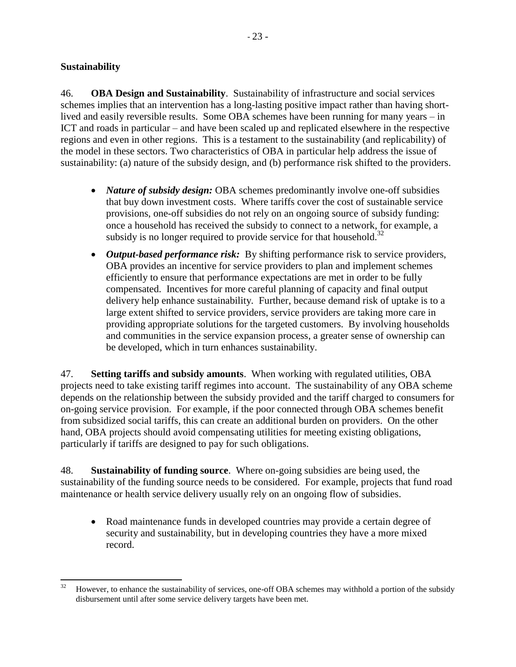#### **Sustainability**

46. **OBA Design and Sustainability**. Sustainability of infrastructure and social services schemes implies that an intervention has a long-lasting positive impact rather than having shortlived and easily reversible results. Some OBA schemes have been running for many years – in ICT and roads in particular – and have been scaled up and replicated elsewhere in the respective regions and even in other regions. This is a testament to the sustainability (and replicability) of the model in these sectors. Two characteristics of OBA in particular help address the issue of sustainability: (a) nature of the subsidy design, and (b) performance risk shifted to the providers.

- *Nature of subsidy design:* OBA schemes predominantly involve one-off subsidies that buy down investment costs. Where tariffs cover the cost of sustainable service provisions, one-off subsidies do not rely on an ongoing source of subsidy funding: once a household has received the subsidy to connect to a network, for example, a subsidy is no longer required to provide service for that household.<sup>32</sup>
- *Output-based performance risk:* By shifting performance risk to service providers, OBA provides an incentive for service providers to plan and implement schemes efficiently to ensure that performance expectations are met in order to be fully compensated. Incentives for more careful planning of capacity and final output delivery help enhance sustainability. Further, because demand risk of uptake is to a large extent shifted to service providers, service providers are taking more care in providing appropriate solutions for the targeted customers. By involving households and communities in the service expansion process, a greater sense of ownership can be developed, which in turn enhances sustainability.

47. **Setting tariffs and subsidy amounts**. When working with regulated utilities, OBA projects need to take existing tariff regimes into account. The sustainability of any OBA scheme depends on the relationship between the subsidy provided and the tariff charged to consumers for on-going service provision. For example, if the poor connected through OBA schemes benefit from subsidized social tariffs, this can create an additional burden on providers. On the other hand, OBA projects should avoid compensating utilities for meeting existing obligations, particularly if tariffs are designed to pay for such obligations.

48. **Sustainability of funding source**. Where on-going subsidies are being used, the sustainability of the funding source needs to be considered. For example, projects that fund road maintenance or health service delivery usually rely on an ongoing flow of subsidies.

 Road maintenance funds in developed countries may provide a certain degree of security and sustainability, but in developing countries they have a more mixed record.

<sup>32</sup> <sup>32</sup> However, to enhance the sustainability of services, one-off OBA schemes may withhold a portion of the subsidy disbursement until after some service delivery targets have been met.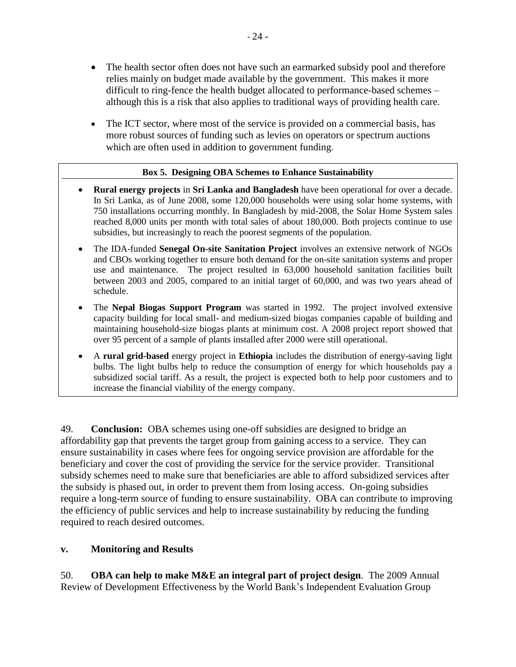- The health sector often does not have such an earmarked subsidy pool and therefore relies mainly on budget made available by the government. This makes it more difficult to ring-fence the health budget allocated to performance-based schemes – although this is a risk that also applies to traditional ways of providing health care.
- The ICT sector, where most of the service is provided on a commercial basis, has more robust sources of funding such as levies on operators or spectrum auctions which are often used in addition to government funding.

#### **Box 5. Designing OBA Schemes to Enhance Sustainability**

- **Rural energy projects** in **Sri Lanka and Bangladesh** have been operational for over a decade. In Sri Lanka, as of June 2008, some 120,000 households were using solar home systems, with 750 installations occurring monthly. In Bangladesh by mid-2008, the Solar Home System sales reached 8,000 units per month with total sales of about 180,000. Both projects continue to use subsidies, but increasingly to reach the poorest segments of the population.
- The IDA-funded **Senegal On-site Sanitation Project** involves an extensive network of NGOs and CBOs working together to ensure both demand for the on-site sanitation systems and proper use and maintenance. The project resulted in 63,000 household sanitation facilities built between 2003 and 2005, compared to an initial target of 60,000, and was two years ahead of schedule.
- The **Nepal Biogas Support Program** was started in 1992. The project involved extensive capacity building for local small- and medium-sized biogas companies capable of building and maintaining household-size biogas plants at minimum cost. A 2008 project report showed that over 95 percent of a sample of plants installed after 2000 were still operational.
- A **rural grid-based** energy project in **Ethiopia** includes the distribution of energy-saving light bulbs. The light bulbs help to reduce the consumption of energy for which households pay a subsidized social tariff. As a result, the project is expected both to help poor customers and to increase the financial viability of the energy company.

49. **Conclusion:** OBA schemes using one-off subsidies are designed to bridge an affordability gap that prevents the target group from gaining access to a service. They can ensure sustainability in cases where fees for ongoing service provision are affordable for the beneficiary and cover the cost of providing the service for the service provider. Transitional subsidy schemes need to make sure that beneficiaries are able to afford subsidized services after the subsidy is phased out, in order to prevent them from losing access. On-going subsidies require a long-term source of funding to ensure sustainability. OBA can contribute to improving the efficiency of public services and help to increase sustainability by reducing the funding required to reach desired outcomes.

#### **v. Monitoring and Results**

50. **OBA can help to make M&E an integral part of project design**. The 2009 Annual Review of Development Effectiveness by the World Bank's Independent Evaluation Group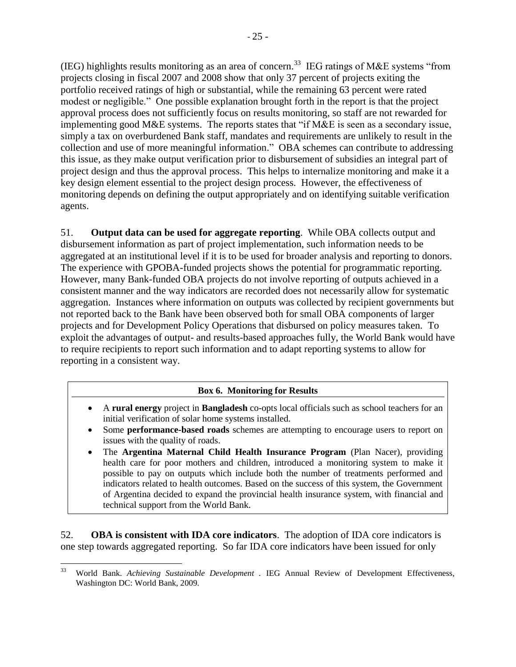(IEG) highlights results monitoring as an area of concern.<sup>33</sup> IEG ratings of M&E systems "from projects closing in fiscal 2007 and 2008 show that only 37 percent of projects exiting the portfolio received ratings of high or substantial, while the remaining 63 percent were rated modest or negligible." One possible explanation brought forth in the report is that the project approval process does not sufficiently focus on results monitoring, so staff are not rewarded for implementing good M&E systems. The reports states that "if M&E is seen as a secondary issue, simply a tax on overburdened Bank staff, mandates and requirements are unlikely to result in the collection and use of more meaningful information." OBA schemes can contribute to addressing this issue, as they make output verification prior to disbursement of subsidies an integral part of project design and thus the approval process. This helps to internalize monitoring and make it a key design element essential to the project design process. However, the effectiveness of monitoring depends on defining the output appropriately and on identifying suitable verification agents.

51. **Output data can be used for aggregate reporting**. While OBA collects output and disbursement information as part of project implementation, such information needs to be aggregated at an institutional level if it is to be used for broader analysis and reporting to donors. The experience with GPOBA-funded projects shows the potential for programmatic reporting. However, many Bank-funded OBA projects do not involve reporting of outputs achieved in a consistent manner and the way indicators are recorded does not necessarily allow for systematic aggregation. Instances where information on outputs was collected by recipient governments but not reported back to the Bank have been observed both for small OBA components of larger projects and for Development Policy Operations that disbursed on policy measures taken. To exploit the advantages of output- and results-based approaches fully, the World Bank would have to require recipients to report such information and to adapt reporting systems to allow for reporting in a consistent way.

#### **Box 6. Monitoring for Results**

- A **rural energy** project in **Bangladesh** co-opts local officials such as school teachers for an initial verification of solar home systems installed.
- Some **performance-based roads** schemes are attempting to encourage users to report on issues with the quality of roads.
- The **Argentina Maternal Child Health Insurance Program** (Plan Nacer), providing health care for poor mothers and children, introduced a monitoring system to make it possible to pay on outputs which include both the number of treatments performed and indicators related to health outcomes. Based on the success of this system, the Government of Argentina decided to expand the provincial health insurance system, with financial and technical support from the World Bank.

52. **OBA is consistent with IDA core indicators**. The adoption of IDA core indicators is one step towards aggregated reporting. So far IDA core indicators have been issued for only

<sup>33</sup> <sup>33</sup> World Bank. *Achieving Sustainable Development .* IEG Annual Review of Development Effectiveness, Washington DC: World Bank, 2009.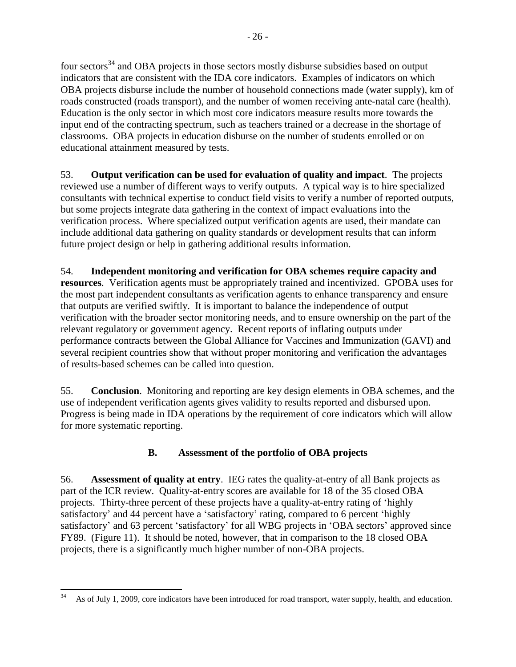four sectors<sup>34</sup> and OBA projects in those sectors mostly disburse subsidies based on output indicators that are consistent with the IDA core indicators. Examples of indicators on which OBA projects disburse include the number of household connections made (water supply), km of roads constructed (roads transport), and the number of women receiving ante-natal care (health). Education is the only sector in which most core indicators measure results more towards the input end of the contracting spectrum, such as teachers trained or a decrease in the shortage of classrooms. OBA projects in education disburse on the number of students enrolled or on educational attainment measured by tests.

53. **Output verification can be used for evaluation of quality and impact**. The projects reviewed use a number of different ways to verify outputs. A typical way is to hire specialized consultants with technical expertise to conduct field visits to verify a number of reported outputs, but some projects integrate data gathering in the context of impact evaluations into the verification process. Where specialized output verification agents are used, their mandate can include additional data gathering on quality standards or development results that can inform future project design or help in gathering additional results information.

54. **Independent monitoring and verification for OBA schemes require capacity and resources**. Verification agents must be appropriately trained and incentivized. GPOBA uses for the most part independent consultants as verification agents to enhance transparency and ensure that outputs are verified swiftly. It is important to balance the independence of output verification with the broader sector monitoring needs, and to ensure ownership on the part of the relevant regulatory or government agency. Recent reports of inflating outputs under performance contracts between the Global Alliance for Vaccines and Immunization (GAVI) and several recipient countries show that without proper monitoring and verification the advantages of results-based schemes can be called into question.

55. **Conclusion**. Monitoring and reporting are key design elements in OBA schemes, and the use of independent verification agents gives validity to results reported and disbursed upon. Progress is being made in IDA operations by the requirement of core indicators which will allow for more systematic reporting.

## **B. Assessment of the portfolio of OBA projects**

56. **Assessment of quality at entry**. IEG rates the quality-at-entry of all Bank projects as part of the ICR review. Quality-at-entry scores are available for 18 of the 35 closed OBA projects. Thirty-three percent of these projects have a quality-at-entry rating of ‗highly satisfactory' and 44 percent have a 'satisfactory' rating, compared to 6 percent 'highly satisfactory' and 63 percent 'satisfactory' for all WBG projects in 'OBA sectors' approved since FY89. (Figure 11). It should be noted, however, that in comparison to the 18 closed OBA projects, there is a significantly much higher number of non-OBA projects.

 $\overline{\phantom{a}}$ <sup>34</sup> As of July 1, 2009, core indicators have been introduced for road transport, water supply, health, and education.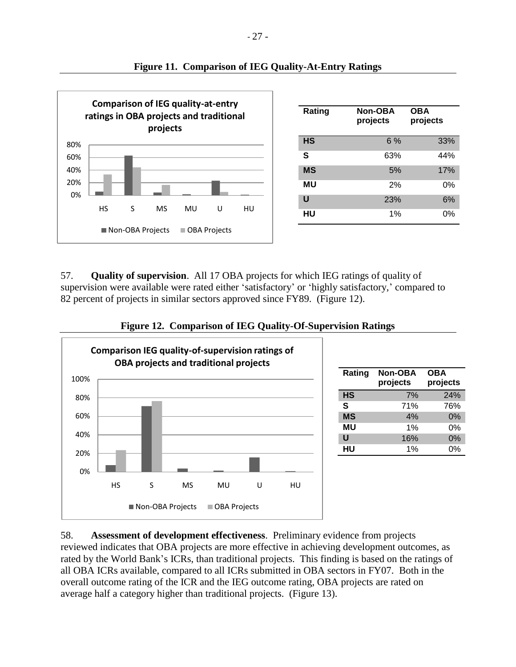

| Rating    | Non-OBA<br>projects | OBA<br>projects |
|-----------|---------------------|-----------------|
| <b>HS</b> | 6%                  | 33%             |
| S         | 63%                 | 44%             |
| <b>MS</b> | 5%                  | 17%             |
| MU        | 2%                  | 0%              |
| U         | 23%                 | 6%              |
| HU        | 1%                  | 0%              |

#### **Figure 11. Comparison of IEG Quality-At-Entry Ratings**

57. **Quality of supervision**. All 17 OBA projects for which IEG ratings of quality of supervision were available were rated either 'satisfactory' or 'highly satisfactory,' compared to 82 percent of projects in similar sectors approved since FY89. (Figure 12).





| Rating    | <b>Non-OBA</b> | <b>OBA</b> |
|-----------|----------------|------------|
|           | projects       | projects   |
|           |                |            |
| <b>HS</b> | 7%             | 24%        |
| S         | 71%            | 76%        |
| <b>MS</b> | 4%             | $0\%$      |
| ΜU        | 1%             | 0%         |
| U         | 16%            | $0\%$      |
| HU        | 1%             | 0%         |

58. **Assessment of development effectiveness**. Preliminary evidence from projects reviewed indicates that OBA projects are more effective in achieving development outcomes, as rated by the World Bank's ICRs, than traditional projects. This finding is based on the ratings of all OBA ICRs available, compared to all ICRs submitted in OBA sectors in FY07. Both in the overall outcome rating of the ICR and the IEG outcome rating, OBA projects are rated on average half a category higher than traditional projects. (Figure 13).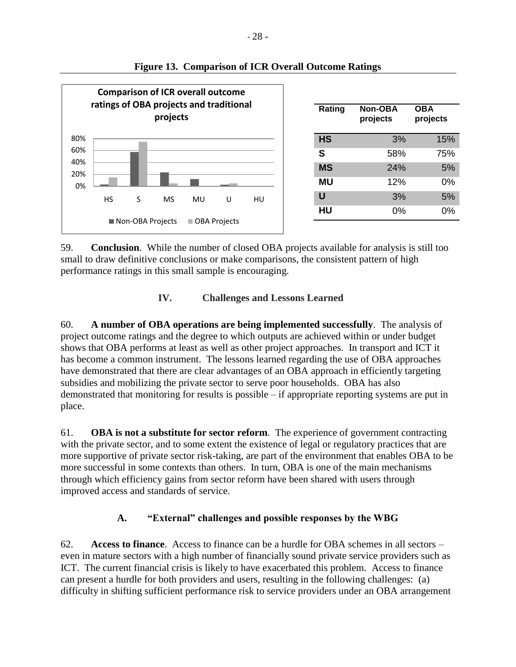

#### **Figure 13. Comparison of ICR Overall Outcome Ratings**

59. **Conclusion**. While the number of closed OBA projects available for analysis is still too small to draw definitive conclusions or make comparisons, the consistent pattern of high performance ratings in this small sample is encouraging.

## **IV. Challenges and Lessons Learned**

60. **A number of OBA operations are being implemented successfully**. The analysis of project outcome ratings and the degree to which outputs are achieved within or under budget shows that OBA performs at least as well as other project approaches. In transport and ICT it has become a common instrument. The lessons learned regarding the use of OBA approaches have demonstrated that there are clear advantages of an OBA approach in efficiently targeting subsidies and mobilizing the private sector to serve poor households. OBA has also demonstrated that monitoring for results is possible – if appropriate reporting systems are put in place.

61. **OBA is not a substitute for sector reform**. The experience of government contracting with the private sector, and to some extent the existence of legal or regulatory practices that are more supportive of private sector risk-taking, are part of the environment that enables OBA to be more successful in some contexts than others. In turn, OBA is one of the main mechanisms through which efficiency gains from sector reform have been shared with users through improved access and standards of service.

## **A. "External" challenges and possible responses by the WBG**

62. **Access to finance**. Access to finance can be a hurdle for OBA schemes in all sectors – even in mature sectors with a high number of financially sound private service providers such as ICT. The current financial crisis is likely to have exacerbated this problem. Access to finance can present a hurdle for both providers and users, resulting in the following challenges: (a) difficulty in shifting sufficient performance risk to service providers under an OBA arrangement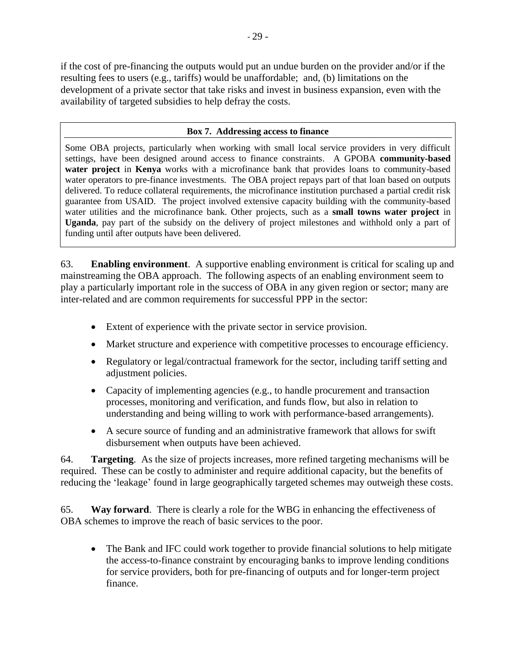if the cost of pre-financing the outputs would put an undue burden on the provider and/or if the resulting fees to users (e.g., tariffs) would be unaffordable; and, (b) limitations on the development of a private sector that take risks and invest in business expansion, even with the availability of targeted subsidies to help defray the costs.

#### **Box 7. Addressing access to finance**

Some OBA projects, particularly when working with small local service providers in very difficult settings, have been designed around access to finance constraints. A GPOBA **community-based water project** in **Kenya** works with a microfinance bank that provides loans to community-based water operators to pre-finance investments. The OBA project repays part of that loan based on outputs delivered. To reduce collateral requirements, the microfinance institution purchased a partial credit risk guarantee from USAID. The project involved extensive capacity building with the community-based water utilities and the microfinance bank. Other projects, such as a **small towns water project** in **Uganda**, pay part of the subsidy on the delivery of project milestones and withhold only a part of funding until after outputs have been delivered.

63. **Enabling environment**. A supportive enabling environment is critical for scaling up and mainstreaming the OBA approach. The following aspects of an enabling environment seem to play a particularly important role in the success of OBA in any given region or sector; many are inter-related and are common requirements for successful PPP in the sector:

- Extent of experience with the private sector in service provision.
- Market structure and experience with competitive processes to encourage efficiency.
- Regulatory or legal/contractual framework for the sector, including tariff setting and adjustment policies.
- Capacity of implementing agencies (e.g., to handle procurement and transaction processes, monitoring and verification, and funds flow, but also in relation to understanding and being willing to work with performance-based arrangements).
- A secure source of funding and an administrative framework that allows for swift disbursement when outputs have been achieved.

64. **Targeting**. As the size of projects increases, more refined targeting mechanisms will be required. These can be costly to administer and require additional capacity, but the benefits of reducing the 'leakage' found in large geographically targeted schemes may outweigh these costs.

65. **Way forward**. There is clearly a role for the WBG in enhancing the effectiveness of OBA schemes to improve the reach of basic services to the poor.

 The Bank and IFC could work together to provide financial solutions to help mitigate the access-to-finance constraint by encouraging banks to improve lending conditions for service providers, both for pre-financing of outputs and for longer-term project finance.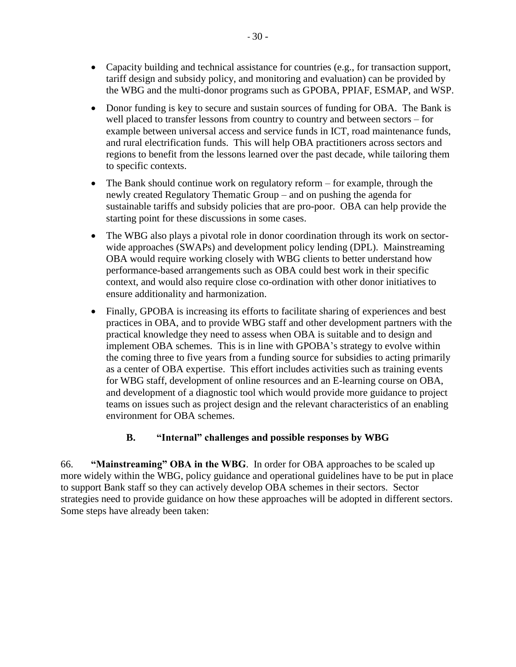- Capacity building and technical assistance for countries (e.g., for transaction support, tariff design and subsidy policy, and monitoring and evaluation) can be provided by the WBG and the multi-donor programs such as GPOBA, PPIAF, ESMAP, and WSP.
- Donor funding is key to secure and sustain sources of funding for OBA. The Bank is well placed to transfer lessons from country to country and between sectors – for example between universal access and service funds in ICT, road maintenance funds, and rural electrification funds. This will help OBA practitioners across sectors and regions to benefit from the lessons learned over the past decade, while tailoring them to specific contexts.
- The Bank should continue work on regulatory reform for example, through the newly created Regulatory Thematic Group – and on pushing the agenda for sustainable tariffs and subsidy policies that are pro-poor. OBA can help provide the starting point for these discussions in some cases.
- The WBG also plays a pivotal role in donor coordination through its work on sectorwide approaches (SWAPs) and development policy lending (DPL). Mainstreaming OBA would require working closely with WBG clients to better understand how performance-based arrangements such as OBA could best work in their specific context, and would also require close co-ordination with other donor initiatives to ensure additionality and harmonization.
- Finally, GPOBA is increasing its efforts to facilitate sharing of experiences and best practices in OBA, and to provide WBG staff and other development partners with the practical knowledge they need to assess when OBA is suitable and to design and implement OBA schemes. This is in line with GPOBA's strategy to evolve within the coming three to five years from a funding source for subsidies to acting primarily as a center of OBA expertise. This effort includes activities such as training events for WBG staff, development of online resources and an E-learning course on OBA, and development of a diagnostic tool which would provide more guidance to project teams on issues such as project design and the relevant characteristics of an enabling environment for OBA schemes.

## **B. "Internal" challenges and possible responses by WBG**

66. **"Mainstreaming" OBA in the WBG**. In order for OBA approaches to be scaled up more widely within the WBG, policy guidance and operational guidelines have to be put in place to support Bank staff so they can actively develop OBA schemes in their sectors. Sector strategies need to provide guidance on how these approaches will be adopted in different sectors. Some steps have already been taken: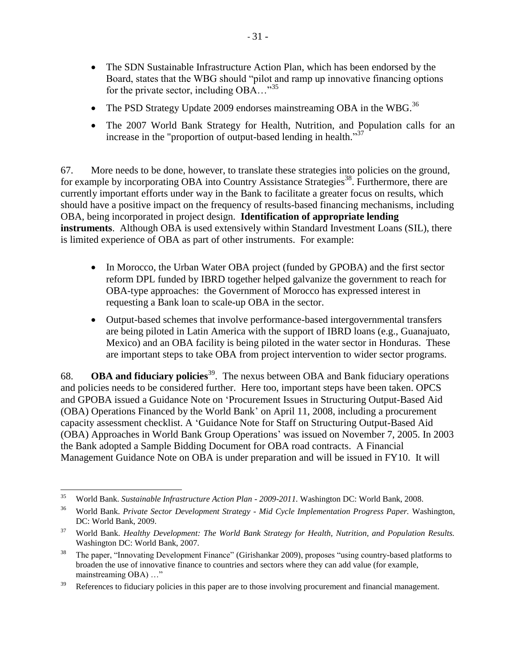- The SDN Sustainable Infrastructure Action Plan, which has been endorsed by the Board, states that the WBG should "pilot and ramp up innovative financing options for the private sector, including  $OBA$ ...<sup>35</sup>
- The PSD Strategy Update 2009 endorses mainstreaming OBA in the WBG.<sup>36</sup>
- The 2007 World Bank Strategy for Health, Nutrition, and Population calls for an increase in the "proportion of output-based lending in health." $37$

67. More needs to be done, however, to translate these strategies into policies on the ground, for example by incorporating OBA into Country Assistance Strategies<sup>38</sup>. Furthermore, there are currently important efforts under way in the Bank to facilitate a greater focus on results, which should have a positive impact on the frequency of results-based financing mechanisms, including OBA, being incorporated in project design. **Identification of appropriate lending instruments**. Although OBA is used extensively within Standard Investment Loans (SIL), there is limited experience of OBA as part of other instruments. For example:

- In Morocco, the Urban Water OBA project (funded by GPOBA) and the first sector reform DPL funded by IBRD together helped galvanize the government to reach for OBA-type approaches: the Government of Morocco has expressed interest in requesting a Bank loan to scale-up OBA in the sector.
- Output-based schemes that involve performance-based intergovernmental transfers are being piloted in Latin America with the support of IBRD loans (e.g., Guanajuato, Mexico) and an OBA facility is being piloted in the water sector in Honduras. These are important steps to take OBA from project intervention to wider sector programs.

68. **OBA and fiduciary policies**<sup>39</sup>. The nexus between OBA and Bank fiduciary operations and policies needs to be considered further. Here too, important steps have been taken. OPCS and GPOBA issued a Guidance Note on 'Procurement Issues in Structuring Output-Based Aid (OBA) Operations Financed by the World Bank' on April 11, 2008, including a procurement capacity assessment checklist. A ‗Guidance Note for Staff on Structuring Output-Based Aid (OBA) Approaches in World Bank Group Operations' was issued on November 7, 2005. In 2003 the Bank adopted a Sample Bidding Document for OBA road contracts. A Financial Management Guidance Note on OBA is under preparation and will be issued in FY10. It will

<sup>35</sup> <sup>35</sup> World Bank. *Sustainable Infrastructure Action Plan - 2009-2011.* Washington DC: World Bank, 2008.

<sup>36</sup> World Bank. *Private Sector Development Strategy - Mid Cycle Implementation Progress Paper.* Washington, DC: World Bank, 2009.

<sup>37</sup> World Bank. *Healthy Development: The World Bank Strategy for Health, Nutrition, and Population Results.* Washington DC: World Bank, 2007.

<sup>&</sup>lt;sup>38</sup> The paper, "Innovating Development Finance" (Girishankar 2009), proposes "using country-based platforms to broaden the use of innovative finance to countries and sectors where they can add value (for example, mainstreaming OBA) ..."

<sup>&</sup>lt;sup>39</sup> References to fiduciary policies in this paper are to those involving procurement and financial management.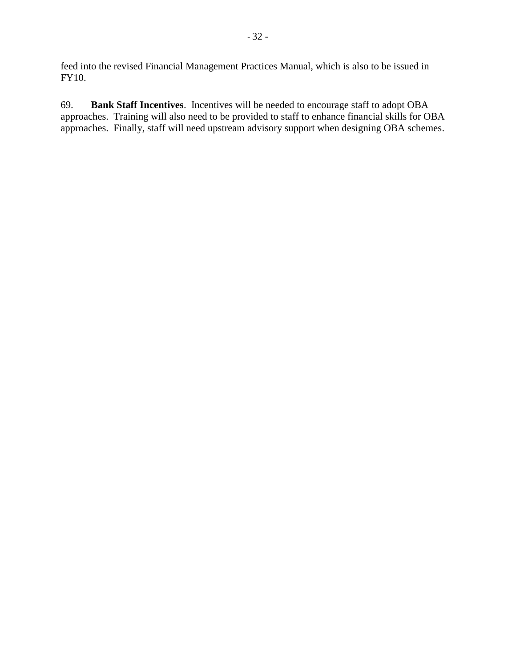feed into the revised Financial Management Practices Manual, which is also to be issued in FY10.

69. **Bank Staff Incentives**. Incentives will be needed to encourage staff to adopt OBA approaches. Training will also need to be provided to staff to enhance financial skills for OBA approaches. Finally, staff will need upstream advisory support when designing OBA schemes.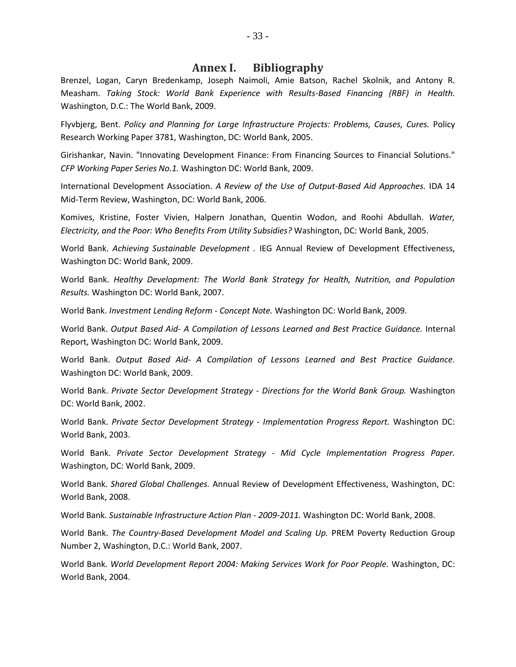#### **Annex I. Bibliography**

Brenzel, Logan, Caryn Bredenkamp, Joseph Naimoli, Amie Batson, Rachel Skolnik, and Antony R. Measham. *Taking Stock: World Bank Experience with Results-Based Financing (RBF) in Health.* Washington, D.C.: The World Bank, 2009.

Flyvbjerg, Bent. *Policy and Planning for Large Infrastructure Projects: Problems, Causes, Cures.* Policy Research Working Paper 3781, Washington, DC: World Bank, 2005.

Girishankar, Navin. "Innovating Development Finance: From Financing Sources to Financial Solutions." *CFP Working Paper Series No.1.* Washington DC: World Bank, 2009.

International Development Association. *A Review of the Use of Output-Based Aid Approaches.* IDA 14 Mid-Term Review, Washington, DC: World Bank, 2006.

Komives, Kristine, Foster Vivien, Halpern Jonathan, Quentin Wodon, and Roohi Abdullah. *Water, Electricity, and the Poor: Who Benefits From Utility Subsidies?* Washington, DC: World Bank, 2005.

World Bank. *Achieving Sustainable Development .* IEG Annual Review of Development Effectiveness, Washington DC: World Bank, 2009.

World Bank. *Healthy Development: The World Bank Strategy for Health, Nutrition, and Population Results.* Washington DC: World Bank, 2007.

World Bank. *Investment Lending Reform - Concept Note.* Washington DC: World Bank, 2009.

World Bank. *Output Based Aid- A Compilation of Lessons Learned and Best Practice Guidance.* Internal Report, Washington DC: World Bank, 2009.

World Bank. *Output Based Aid- A Compilation of Lessons Learned and Best Practice Guidance.* Washington DC: World Bank, 2009.

World Bank. *Private Sector Development Strategy - Directions for the World Bank Group.* Washington DC: World Bank, 2002.

World Bank. *Private Sector Development Strategy - Implementation Progress Report.* Washington DC: World Bank, 2003.

World Bank. *Private Sector Development Strategy - Mid Cycle Implementation Progress Paper.* Washington, DC: World Bank, 2009.

World Bank. *Shared Global Challenges.* Annual Review of Development Effectiveness, Washington, DC: World Bank, 2008.

World Bank. *Sustainable Infrastructure Action Plan - 2009-2011.* Washington DC: World Bank, 2008.

World Bank. *The Country-Based Development Model and Scaling Up.* PREM Poverty Reduction Group Number 2, Washington, D.C.: World Bank, 2007.

World Bank. *World Development Report 2004: Making Services Work for Poor People.* Washington, DC: World Bank, 2004.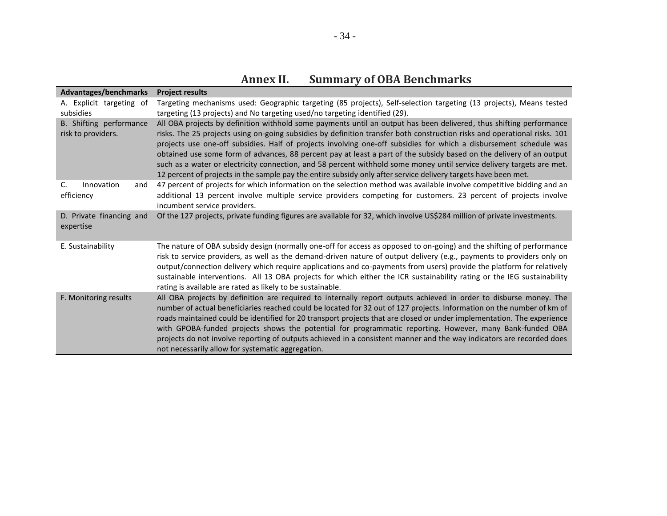| Advantages/benchmarks                         | <b>Project results</b>                                                                                                                                                                                                                                                                                                                                                                                                                                                                                                                                                                                                                                                                                                                    |
|-----------------------------------------------|-------------------------------------------------------------------------------------------------------------------------------------------------------------------------------------------------------------------------------------------------------------------------------------------------------------------------------------------------------------------------------------------------------------------------------------------------------------------------------------------------------------------------------------------------------------------------------------------------------------------------------------------------------------------------------------------------------------------------------------------|
| A. Explicit targeting of<br>subsidies         | Targeting mechanisms used: Geographic targeting (85 projects), Self-selection targeting (13 projects), Means tested<br>targeting (13 projects) and No targeting used/no targeting identified (29).                                                                                                                                                                                                                                                                                                                                                                                                                                                                                                                                        |
| B. Shifting performance<br>risk to providers. | All OBA projects by definition withhold some payments until an output has been delivered, thus shifting performance<br>risks. The 25 projects using on-going subsidies by definition transfer both construction risks and operational risks. 101<br>projects use one-off subsidies. Half of projects involving one-off subsidies for which a disbursement schedule was<br>obtained use some form of advances, 88 percent pay at least a part of the subsidy based on the delivery of an output<br>such as a water or electricity connection, and 58 percent withhold some money until service delivery targets are met.<br>12 percent of projects in the sample pay the entire subsidy only after service delivery targets have been met. |
| C.<br>Innovation<br>and<br>efficiency         | 47 percent of projects for which information on the selection method was available involve competitive bidding and an<br>additional 13 percent involve multiple service providers competing for customers. 23 percent of projects involve<br>incumbent service providers.                                                                                                                                                                                                                                                                                                                                                                                                                                                                 |
| D. Private financing and<br>expertise         | Of the 127 projects, private funding figures are available for 32, which involve US\$284 million of private investments.                                                                                                                                                                                                                                                                                                                                                                                                                                                                                                                                                                                                                  |
| E. Sustainability                             | The nature of OBA subsidy design (normally one-off for access as opposed to on-going) and the shifting of performance<br>risk to service providers, as well as the demand-driven nature of output delivery (e.g., payments to providers only on<br>output/connection delivery which require applications and co-payments from users) provide the platform for relatively<br>sustainable interventions. All 13 OBA projects for which either the ICR sustainability rating or the IEG sustainability<br>rating is available are rated as likely to be sustainable.                                                                                                                                                                         |
| F. Monitoring results                         | All OBA projects by definition are required to internally report outputs achieved in order to disburse money. The<br>number of actual beneficiaries reached could be located for 32 out of 127 projects. Information on the number of km of<br>roads maintained could be identified for 20 transport projects that are closed or under implementation. The experience<br>with GPOBA-funded projects shows the potential for programmatic reporting. However, many Bank-funded OBA<br>projects do not involve reporting of outputs achieved in a consistent manner and the way indicators are recorded does<br>not necessarily allow for systematic aggregation.                                                                           |

**Annex II. Summary of OBA Benchmarks**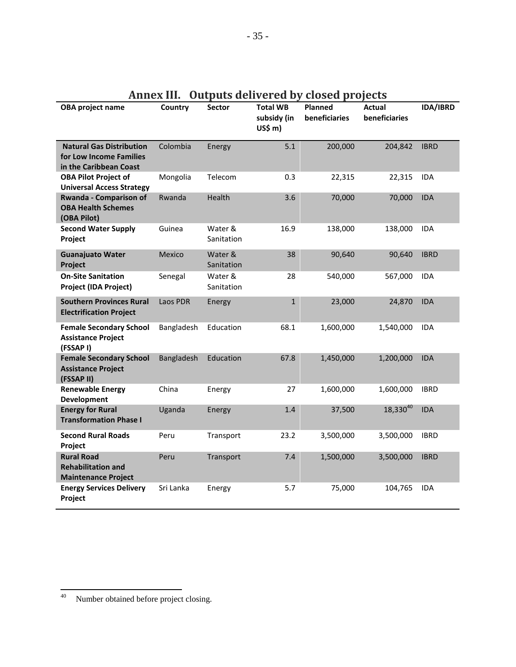| OBA project name                                                                     | Country    | Sector                | <b>Total WB</b><br>subsidy (in<br>US\$ m) | <b>Planned</b><br>beneficiaries | <b>Actual</b><br>beneficiaries | IDA/IBRD    |
|--------------------------------------------------------------------------------------|------------|-----------------------|-------------------------------------------|---------------------------------|--------------------------------|-------------|
| <b>Natural Gas Distribution</b><br>for Low Income Families<br>in the Caribbean Coast | Colombia   | Energy                | 5.1                                       | 200,000                         | 204,842                        | <b>IBRD</b> |
| <b>OBA Pilot Project of</b><br><b>Universal Access Strategy</b>                      | Mongolia   | Telecom               | 0.3                                       | 22,315                          | 22,315                         | <b>IDA</b>  |
| Rwanda - Comparison of<br><b>OBA Health Schemes</b><br>(OBA Pilot)                   | Rwanda     | Health                | 3.6                                       | 70,000                          | 70,000                         | <b>IDA</b>  |
| <b>Second Water Supply</b><br>Project                                                | Guinea     | Water &<br>Sanitation | 16.9                                      | 138,000                         | 138,000                        | <b>IDA</b>  |
| <b>Guanajuato Water</b><br>Project                                                   | Mexico     | Water &<br>Sanitation | 38                                        | 90,640                          | 90,640                         | <b>IBRD</b> |
| <b>On-Site Sanitation</b><br><b>Project (IDA Project)</b>                            | Senegal    | Water &<br>Sanitation | 28                                        | 540,000                         | 567,000                        | <b>IDA</b>  |
| <b>Southern Provinces Rural</b><br><b>Electrification Project</b>                    | Laos PDR   | Energy                | $1\,$                                     | 23,000                          | 24,870                         | <b>IDA</b>  |
| <b>Female Secondary School</b><br><b>Assistance Project</b><br>(FSSAP I)             | Bangladesh | Education             | 68.1                                      | 1,600,000                       | 1,540,000                      | <b>IDA</b>  |
| <b>Female Secondary School</b><br><b>Assistance Project</b><br>(FSSAP II)            | Bangladesh | Education             | 67.8                                      | 1,450,000                       | 1,200,000                      | <b>IDA</b>  |
| <b>Renewable Energy</b><br><b>Development</b>                                        | China      | Energy                | 27                                        | 1,600,000                       | 1,600,000                      | <b>IBRD</b> |
| <b>Energy for Rural</b><br><b>Transformation Phase I</b>                             | Uganda     | Energy                | 1.4                                       | 37,500                          | 18,33040                       | <b>IDA</b>  |
| <b>Second Rural Roads</b><br>Project                                                 | Peru       | Transport             | 23.2                                      | 3,500,000                       | 3,500,000                      | <b>IBRD</b> |
| <b>Rural Road</b><br><b>Rehabilitation and</b><br><b>Maintenance Project</b>         | Peru       | Transport             | 7.4                                       | 1,500,000                       | 3,500,000                      | <b>IBRD</b> |
| <b>Energy Services Delivery</b><br>Project                                           | Sri Lanka  | Energy                | 5.7                                       | 75,000                          | 104,765                        | <b>IDA</b>  |

# **Annex III. Outputs delivered by closed projects**

 $\overline{\phantom{a}}$ 

 $^{40}$  Number obtained before project closing.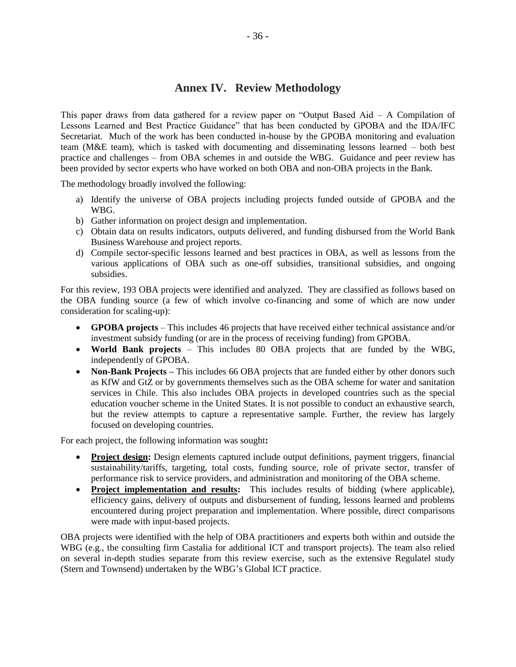## **Annex IV. Review Methodology**

This paper draws from data gathered for a review paper on "Output Based Aid  $-$  A Compilation of Lessons Learned and Best Practice Guidance" that has been conducted by GPOBA and the IDA/IFC Secretariat. Much of the work has been conducted in-house by the GPOBA monitoring and evaluation team (M&E team), which is tasked with documenting and disseminating lessons learned – both best practice and challenges – from OBA schemes in and outside the WBG. Guidance and peer review has been provided by sector experts who have worked on both OBA and non-OBA projects in the Bank.

The methodology broadly involved the following:

- a) Identify the universe of OBA projects including projects funded outside of GPOBA and the WBG.
- b) Gather information on project design and implementation.
- c) Obtain data on results indicators, outputs delivered, and funding disbursed from the World Bank Business Warehouse and project reports.
- d) Compile sector-specific lessons learned and best practices in OBA, as well as lessons from the various applications of OBA such as one-off subsidies, transitional subsidies, and ongoing subsidies.

For this review, 193 OBA projects were identified and analyzed. They are classified as follows based on the OBA funding source (a few of which involve co-financing and some of which are now under consideration for scaling-up):

- **GPOBA projects** This includes 46 projects that have received either technical assistance and/or investment subsidy funding (or are in the process of receiving funding) from GPOBA.
- **World Bank projects** This includes 80 OBA projects that are funded by the WBG, independently of GPOBA.
- **Non-Bank Projects** This includes 66 OBA projects that are funded either by other donors such as KfW and GtZ or by governments themselves such as the OBA scheme for water and sanitation services in Chile. This also includes OBA projects in developed countries such as the special education voucher scheme in the United States. It is not possible to conduct an exhaustive search, but the review attempts to capture a representative sample. Further, the review has largely focused on developing countries.

For each project, the following information was sought**:** 

- **Project design:** Design elements captured include output definitions, payment triggers, financial sustainability/tariffs, targeting, total costs, funding source, role of private sector, transfer of performance risk to service providers, and administration and monitoring of the OBA scheme.
- **Project implementation and results:** This includes results of bidding (where applicable), efficiency gains, delivery of outputs and disbursement of funding, lessons learned and problems encountered during project preparation and implementation. Where possible, direct comparisons were made with input-based projects.

OBA projects were identified with the help of OBA practitioners and experts both within and outside the WBG (e.g., the consulting firm Castalia for additional ICT and transport projects). The team also relied on several in-depth studies separate from this review exercise, such as the extensive Regulatel study (Stern and Townsend) undertaken by the WBG's Global ICT practice.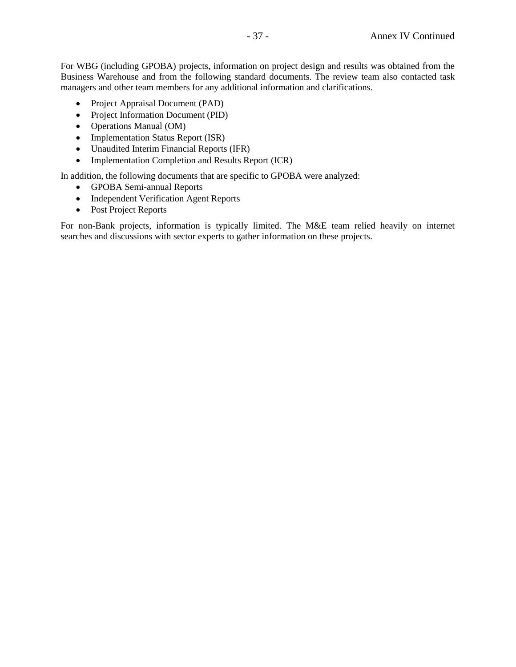For WBG (including GPOBA) projects, information on project design and results was obtained from the Business Warehouse and from the following standard documents. The review team also contacted task managers and other team members for any additional information and clarifications.

- Project Appraisal Document (PAD)
- Project Information Document (PID)
- Operations Manual (OM)
- Implementation Status Report (ISR)
- Unaudited Interim Financial Reports (IFR)
- Implementation Completion and Results Report (ICR)

In addition, the following documents that are specific to GPOBA were analyzed:

- GPOBA Semi-annual Reports
- Independent Verification Agent Reports
- Post Project Reports

For non-Bank projects, information is typically limited. The M&E team relied heavily on internet searches and discussions with sector experts to gather information on these projects.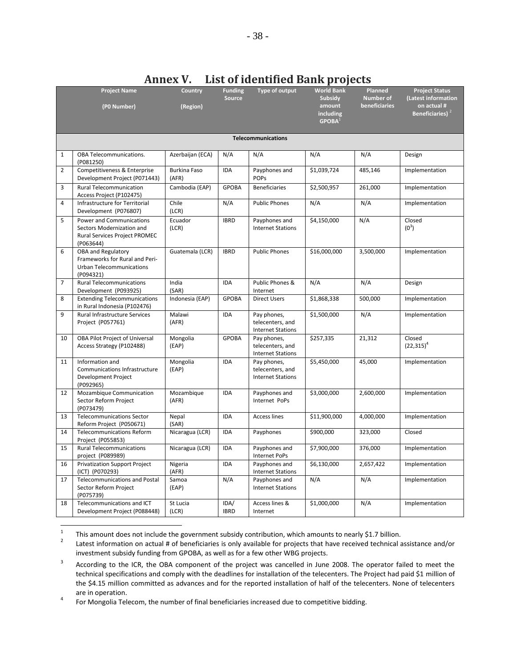|                | <b>Project Name</b>                                           | Country                      | <b>Funding</b> | Type of output                               | <b>World Bank</b>   | Planned       | <b>Project Status</b>              |  |  |  |  |
|----------------|---------------------------------------------------------------|------------------------------|----------------|----------------------------------------------|---------------------|---------------|------------------------------------|--|--|--|--|
|                |                                                               |                              | <b>Source</b>  |                                              | <b>Subsidy</b>      | Number of     | (Latest information<br>on actual # |  |  |  |  |
|                | (P0 Number)                                                   | (Region)                     |                |                                              | amount<br>including | beneficiaries | Beneficiaries) <sup>2</sup>        |  |  |  |  |
|                |                                                               |                              |                |                                              | GPOBA <sup>1</sup>  |               |                                    |  |  |  |  |
|                |                                                               |                              |                |                                              |                     |               |                                    |  |  |  |  |
|                | <b>Telecommunications</b>                                     |                              |                |                                              |                     |               |                                    |  |  |  |  |
| $\mathbf{1}$   | OBA Telecommunications.<br>(P081250)                          | Azerbaijan (ECA)             | N/A            | N/A                                          | N/A                 | N/A           | Design                             |  |  |  |  |
| $\overline{2}$ | Competitiveness & Enterprise<br>Development Project (P071443) | <b>Burkina Faso</b><br>(AFR) | <b>IDA</b>     | Payphones and<br><b>POPs</b>                 | \$1,039,724         | 485,146       | Implementation                     |  |  |  |  |
| 3              | Rural Telecommunication<br>Access Project (P102475)           | Cambodia (EAP)               | <b>GPOBA</b>   | <b>Beneficiaries</b>                         | \$2,500,957         | 261,000       | Implementation                     |  |  |  |  |
| $\overline{4}$ | Infrastructure for Territorial<br>Development (P076807)       | Chile<br>(LCR)               | N/A            | <b>Public Phones</b>                         | N/A                 | N/A           | Implementation                     |  |  |  |  |
| 5              | Power and Communications                                      | Ecuador                      | <b>IBRD</b>    | Payphones and                                | \$4,150,000         | N/A           | Closed                             |  |  |  |  |
|                | Sectors Modernization and<br>Rural Services Project PROMEC    | (LCR)                        |                | <b>Internet Stations</b>                     |                     |               | $(0^3)$                            |  |  |  |  |
|                | (P063644)                                                     |                              |                |                                              |                     |               |                                    |  |  |  |  |
| 6              | OBA and Regulatory<br>Frameworks for Rural and Peri-          | Guatemala (LCR)              | <b>IBRD</b>    | <b>Public Phones</b>                         | \$16,000,000        | 3,500,000     | Implementation                     |  |  |  |  |
|                | Urban Telecommunications                                      |                              |                |                                              |                     |               |                                    |  |  |  |  |
|                | (P094321)                                                     |                              |                |                                              |                     |               |                                    |  |  |  |  |
| $\overline{7}$ | <b>Rural Telecommunications</b><br>Development (P093925)      | India<br>(SAR)               | <b>IDA</b>     | Public Phones &<br>Internet                  | N/A                 | N/A           | Design                             |  |  |  |  |
| 8              | <b>Extending Telecommunications</b>                           | Indonesia (EAP)              | <b>GPOBA</b>   | <b>Direct Users</b>                          | \$1,868,338         | 500,000       | Implementation                     |  |  |  |  |
|                | in Rural Indonesia (P102476)                                  |                              |                |                                              |                     |               |                                    |  |  |  |  |
| 9              | Rural Infrastructure Services<br>Project (P057761)            | Malawi<br>(AFR)              | <b>IDA</b>     | Pay phones,<br>telecenters, and              | \$1,500,000         | N/A           | Implementation                     |  |  |  |  |
|                |                                                               |                              |                | <b>Internet Stations</b>                     |                     |               |                                    |  |  |  |  |
| 10             | OBA Pilot Project of Universal                                | Mongolia                     | <b>GPOBA</b>   | Pay phones,                                  | \$257,335           | 21,312        | Closed                             |  |  |  |  |
|                | Access Strategy (P102488)                                     | (EAP)                        |                | telecenters, and<br><b>Internet Stations</b> |                     |               | $(22,315)^4$                       |  |  |  |  |
| 11             | Information and                                               | Mongolia                     | <b>IDA</b>     | Pay phones,                                  | \$5,450,000         | 45,000        | Implementation                     |  |  |  |  |
|                | Communications Infrastructure<br>Development Project          | (EAP)                        |                | telecenters, and<br><b>Internet Stations</b> |                     |               |                                    |  |  |  |  |
|                | (P092965)                                                     |                              |                |                                              |                     |               |                                    |  |  |  |  |
| 12             | Mozambique Communication                                      | Mozambique                   | IDA            | Payphones and                                | \$3,000,000         | 2,600,000     | Implementation                     |  |  |  |  |
|                | Sector Reform Project<br>(P073479)                            | (AFR)                        |                | Internet PoPs                                |                     |               |                                    |  |  |  |  |
| 13             | <b>Telecommunications Sector</b>                              | Nepal                        | <b>IDA</b>     | <b>Access lines</b>                          | \$11,900,000        | 4,000,000     | Implementation                     |  |  |  |  |
|                | Reform Project (P050671)                                      | (SAR)                        |                |                                              |                     |               |                                    |  |  |  |  |
| 14             | <b>Telecommunications Reform</b><br>Project (P055853)         | Nicaragua (LCR)              | <b>IDA</b>     | Payphones                                    | \$900,000           | 323,000       | Closed                             |  |  |  |  |
| 15             | <b>Rural Telecommunications</b><br>project (P089989)          | Nicaragua (LCR)              | <b>IDA</b>     | Payphones and<br>Internet PoPs               | \$7,900,000         | 376,000       | Implementation                     |  |  |  |  |
| 16             | Privatization Support Project<br>(ICT) (P070293)              | Nigeria<br>(AFR)             | <b>IDA</b>     | Payphones and<br><b>Internet Stations</b>    | \$6,130,000         | 2,657,422     | Implementation                     |  |  |  |  |
| 17             | <b>Telecommunications and Postal</b>                          | Samoa                        | N/A            | Payphones and                                | N/A                 | N/A           | Implementation                     |  |  |  |  |
|                | Sector Reform Project<br>(P075739)                            | (EAP)                        |                | <b>Internet Stations</b>                     |                     |               |                                    |  |  |  |  |
| 18             | Telecommunications and ICT                                    | St Lucia                     | IDA/           | Access lines &                               | \$1,000,000         | N/A           | Implementation                     |  |  |  |  |
|                | Development Project (P088448)                                 | (LCR)                        | <b>IBRD</b>    | Internet                                     |                     |               |                                    |  |  |  |  |

## **Annex V. List of identified Bank projects**

 $\frac{1}{1}$ This amount does not include the government subsidy contribution, which amounts to nearly \$1.7 billion.

2 Latest information on actual # of beneficiaries is only available for projects that have received technical assistance and/or investment subsidy funding from GPOBA, as well as for a few other WBG projects.

3 According to the ICR, the OBA component of the project was cancelled in June 2008. The operator failed to meet the technical specifications and comply with the deadlines for installation of the telecenters. The Project had paid \$1 million of the \$4.15 million committed as advances and for the reported installation of half of the telecenters. None of telecenters are in operation.

4 For Mongolia Telecom, the number of final beneficiaries increased due to competitive bidding.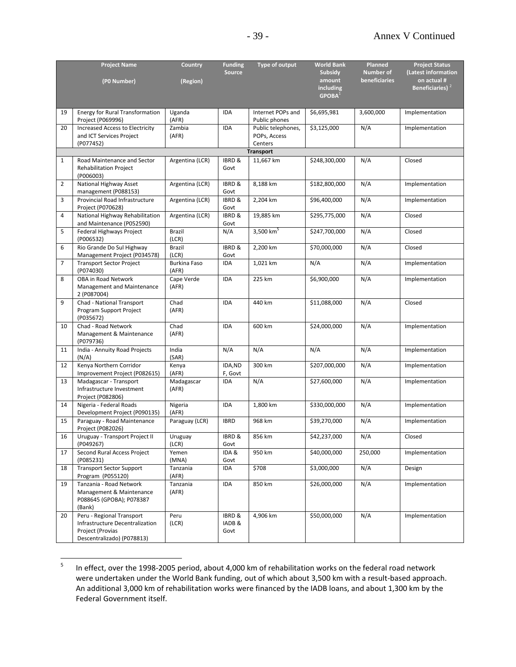|              | <b>Project Name</b>                                         | <b>Country</b>               | <b>Funding</b>    | Type of output                     | <b>World Bank</b>   | Planned          | <b>Project Status</b>             |
|--------------|-------------------------------------------------------------|------------------------------|-------------------|------------------------------------|---------------------|------------------|-----------------------------------|
|              |                                                             |                              | <b>Source</b>     |                                    | <b>Subsidy</b>      | <b>Number of</b> | (Latest information               |
|              | (P0 Number)                                                 | (Region)                     |                   |                                    | amount<br>including | beneficiaries    | on actual #<br>Beneficiaries) $2$ |
|              |                                                             |                              |                   |                                    | GPOBA <sup>1</sup>  |                  |                                   |
|              |                                                             |                              |                   |                                    |                     |                  |                                   |
| 19           | <b>Energy for Rural Transformation</b><br>Project (P069996) | Uganda<br>(AFR)              | IDA               | Internet POPs and<br>Public phones | \$6,695,981         | 3,600,000        | Implementation                    |
| 20           | <b>Increased Access to Electricity</b>                      | Zambia                       | IDA               | Public telephones,                 | \$3,125,000         | N/A              | Implementation                    |
|              | and ICT Services Project                                    | (AFR)                        |                   | POPs, Access                       |                     |                  |                                   |
|              | (P077452)                                                   |                              |                   | Centers<br><b>Transport</b>        |                     |                  |                                   |
| $\mathbf{1}$ | Road Maintenance and Sector                                 | Argentina (LCR)              | IBRD &            | 11,667 km                          | \$248,300,000       | N/A              | Closed                            |
|              | Rehabilitation Project                                      |                              | Govt              |                                    |                     |                  |                                   |
|              | (P006003)                                                   |                              |                   |                                    |                     |                  |                                   |
| 2            | National Highway Asset                                      | Argentina (LCR)              | IBRD &            | 8,188 km                           | \$182,800,000       | N/A              | Implementation                    |
|              | management (P088153)                                        |                              | Govt              |                                    |                     |                  |                                   |
| 3            | Provincial Road Infrastructure<br>Project (P070628)         | Argentina (LCR)              | IBRD &<br>Govt    | 2,204 km                           | \$96,400,000        | N/A              | Implementation                    |
| 4            | National Highway Rehabilitation                             | Argentina (LCR)              | IBRD &            | 19,885 km                          | \$295,775,000       | N/A              | Closed                            |
|              | and Maintenance (P052590)                                   |                              | Govt              |                                    |                     |                  |                                   |
| 5            | Federal Highways Project<br>(P006532)                       | Brazil<br>(LCR)              | N/A               | 3,500 $km^5$                       | \$247,700,000       | N/A              | Closed                            |
| 6            | Rio Grande Do Sul Highway                                   | Brazil                       | IBRD &            | 2,200 km                           | \$70,000,000        | N/A              | Closed                            |
|              | Management Project (P034578)                                | (LCR)                        | Govt              |                                    |                     |                  |                                   |
| 7            | <b>Transport Sector Project</b><br>(P074030)                | <b>Burkina Faso</b><br>(AFR) | IDA               | 1,021 km                           | N/A                 | N/A              | Implementation                    |
| 8            | OBA in Road Network                                         | Cape Verde                   | <b>IDA</b>        | 225 km                             | \$6,900,000         | N/A              | Implementation                    |
|              | Management and Maintenance                                  | (AFR)                        |                   |                                    |                     |                  |                                   |
|              | 2 (P087004)                                                 |                              |                   |                                    |                     |                  |                                   |
| 9            | Chad - National Transport                                   | Chad                         | <b>IDA</b>        | 440 km                             | \$11,088,000        | N/A              | Closed                            |
|              | Program Support Project<br>(P035672)                        | (AFR)                        |                   |                                    |                     |                  |                                   |
| 10           | Chad - Road Network                                         | Chad                         | <b>IDA</b>        | 600 km                             | \$24,000,000        | N/A              | Implementation                    |
|              | Management & Maintenance                                    | (AFR)                        |                   |                                    |                     |                  |                                   |
| 11           | (P079736)                                                   | India                        | N/A               | N/A                                | N/A                 |                  |                                   |
|              | India - Annuity Road Projects<br>(N/A)                      | (SAR)                        |                   |                                    |                     | N/A              | Implementation                    |
| 12           | Kenya Northern Corridor                                     | Kenya                        | IDA, ND           | 300 km                             | \$207,000,000       | N/A              | Implementation                    |
| 13           | Improvement Project (P082615)<br>Madagascar - Transport     | (AFR)<br>Madagascar          | F, Govt<br>IDA    | N/A                                | \$27,600,000        | N/A              | Implementation                    |
|              | Infrastructure Investment                                   | (AFR)                        |                   |                                    |                     |                  |                                   |
|              | Project (P082806)                                           |                              |                   |                                    |                     |                  |                                   |
| 14           | Nigeria - Federal Roads                                     | Nigeria                      | IDA               | 1,800 km                           | \$330,000,000       | N/A              | Implementation                    |
|              | Development Project (P090135)                               | (AFR)                        |                   |                                    |                     |                  |                                   |
| 15           | Paraguay - Road Maintenance<br>Project (P082026)            | Paraguay (LCR)               | <b>IBRD</b>       | 968 km                             | \$39,270,000        | N/A              | Implementation                    |
| 16           | Uruguay - Transport Project II                              | Uruguay                      | <b>IBRD &amp;</b> | 856 km                             | \$42,237,000        | N/A              | Closed                            |
|              | (P049267)                                                   | (LCR)                        | Govt              |                                    |                     |                  |                                   |
| 17           | Second Rural Access Project                                 | Yemen                        | IDA&              | 950 km                             | \$40,000,000        | 250,000          | Implementation                    |
| 18           | (P085231)<br><b>Transport Sector Support</b>                | (MNA)                        | Govt              | \$708                              | \$3,000,000         | N/A              |                                   |
|              | Program (P055120)                                           | Tanzania<br>(AFR)            | IDA               |                                    |                     |                  | Design                            |
| 19           | Tanzania - Road Network                                     | Tanzania                     | IDA               | 850 km                             | \$26,000,000        | N/A              | Implementation                    |
|              | Management & Maintenance                                    | (AFR)                        |                   |                                    |                     |                  |                                   |
|              | P088645 (GPOBA); P078387<br>(Bank)                          |                              |                   |                                    |                     |                  |                                   |
| 20           | Peru - Regional Transport                                   | Peru                         | IBRD &            | 4,906 km                           | \$50,000,000        | N/A              | Implementation                    |
|              | Infrastructure Decentralization                             | (LCR)                        | IADB &            |                                    |                     |                  |                                   |
|              | Project (Provias                                            |                              | Govt              |                                    |                     |                  |                                   |
|              | Descentralizado) (P078813)                                  |                              |                   |                                    |                     |                  |                                   |

<sup>-&</sup>lt;br>5 In effect, over the 1998-2005 period, about 4,000 km of rehabilitation works on the federal road network were undertaken under the World Bank funding, out of which about 3,500 km with a result-based approach. An additional 3,000 km of rehabilitation works were financed by the IADB loans, and about 1,300 km by the Federal Government itself.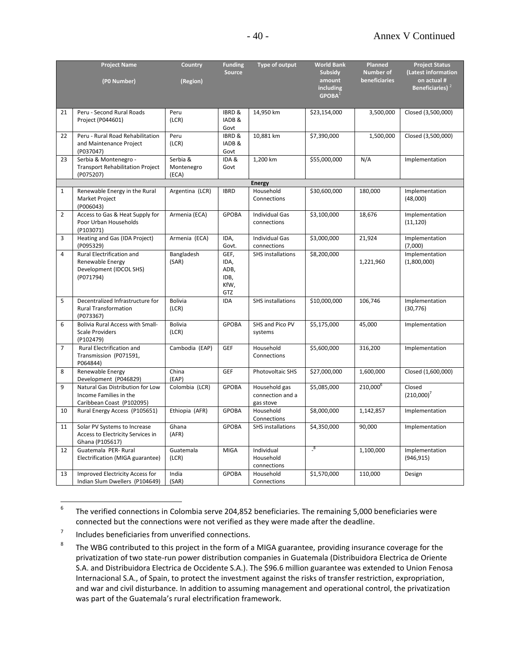|                | <b>Project Name</b>                         | <b>Country</b>  | <b>Funding</b>    | Type of output             | <b>World Bank</b>                      | Planned              | <b>Project Status</b>       |
|----------------|---------------------------------------------|-----------------|-------------------|----------------------------|----------------------------------------|----------------------|-----------------------------|
|                |                                             |                 | <b>Source</b>     |                            | <b>Subsidy</b>                         | <b>Number of</b>     | (Latest information         |
|                | (P0 Number)                                 | (Region)        |                   |                            | amount                                 | beneficiaries        | on actual #                 |
|                |                                             |                 |                   |                            | <b>including</b><br>GPOBA <sup>1</sup> |                      | Beneficiaries) <sup>2</sup> |
|                |                                             |                 |                   |                            |                                        |                      |                             |
| 21             | Peru - Second Rural Roads                   | Peru            | <b>IBRD &amp;</b> | 14,950 km                  | \$23,154,000                           | 3,500,000            | Closed (3,500,000)          |
|                | Project (P044601)                           | (LCR)           | IADB &            |                            |                                        |                      |                             |
|                |                                             |                 | Govt              |                            |                                        |                      |                             |
| 22             | Peru - Rural Road Rehabilitation            | Peru            | IBRD &            | 10,881 km                  | \$7,390,000                            | 1,500,000            | Closed (3,500,000)          |
|                | and Maintenance Project                     | (LCR)           | IADB&             |                            |                                        |                      |                             |
|                | (P037047)                                   |                 | Govt              |                            |                                        |                      |                             |
| 23             | Serbia & Montenegro -                       | Serbia &        | IDA&              | 1,200 km                   | \$55,000,000                           | N/A                  | Implementation              |
|                | <b>Transport Rehabilitation Project</b>     | Montenegro      | Govt              |                            |                                        |                      |                             |
|                | (P075207)                                   | (ECA)           |                   |                            |                                        |                      |                             |
| $\mathbf{1}$   | Renewable Energy in the Rural               | Argentina (LCR) | <b>IBRD</b>       | <b>Energy</b><br>Household | \$30,600,000                           | 180,000              | Implementation              |
|                | Market Project                              |                 |                   | Connections                |                                        |                      | (48,000)                    |
|                | (P006043)                                   |                 |                   |                            |                                        |                      |                             |
| 2              | Access to Gas & Heat Supply for             | Armenia (ECA)   | <b>GPOBA</b>      | <b>Individual Gas</b>      | \$3,100,000                            | 18,676               | Implementation              |
|                | Poor Urban Households                       |                 |                   | connections                |                                        |                      | (11, 120)                   |
|                | (P103071)                                   |                 |                   |                            |                                        |                      |                             |
| 3              | Heating and Gas (IDA Project)               | Armenia (ECA)   | IDA,              | <b>Individual Gas</b>      | \$3,000,000                            | 21,924               | Implementation              |
|                | (P095329)                                   |                 | Govt.             | connections                |                                        |                      | (7,000)                     |
| 4              | Rural Electrification and                   | Bangladesh      | GEF,              | <b>SHS</b> installations   | \$8,200,000                            |                      | Implementation              |
|                | Renewable Energy<br>Development (IDCOL SHS) | (SAR)           | IDA,<br>ADB,      |                            |                                        | 1,221,960            | (1,800,000)                 |
|                | (P071794)                                   |                 | IDB,              |                            |                                        |                      |                             |
|                |                                             |                 | KfW,              |                            |                                        |                      |                             |
|                |                                             |                 | GTZ               |                            |                                        |                      |                             |
| 5              | Decentralized Infrastructure for            | Bolivia         | IDA               | <b>SHS installations</b>   | \$10,000,000                           | 106,746              | Implementation              |
|                | <b>Rural Transformation</b>                 | (LCR)           |                   |                            |                                        |                      | (30, 776)                   |
|                | (P073367)                                   |                 |                   |                            |                                        |                      |                             |
| 6              | <b>Bolivia Rural Access with Small-</b>     | Bolivia         | <b>GPOBA</b>      | SHS and Pico PV            | \$5,175,000                            | 45,000               | Implementation              |
|                | <b>Scale Providers</b><br>(P102479)         | (LCR)           |                   | systems                    |                                        |                      |                             |
| $\overline{7}$ | Rural Electrification and                   | Cambodia (EAP)  | GEF               | Household                  | \$5,600,000                            | 316,200              | Implementation              |
|                | Transmission (P071591,                      |                 |                   | Connections                |                                        |                      |                             |
|                | P064844)                                    |                 |                   |                            |                                        |                      |                             |
| 8              | Renewable Energy                            | China           | GEF               | Photovoltaic SHS           | \$27,000,000                           | 1,600,000            | Closed (1,600,000)          |
|                | Development (P046829)                       | (EAP)           |                   |                            |                                        |                      |                             |
| 9              | Natural Gas Distribution for Low            | Colombia (LCR)  | <b>GPOBA</b>      | Household gas              | \$5,085,000                            | 210,000 <sup>6</sup> | Closed                      |
|                | Income Families in the                      |                 |                   | connection and a           |                                        |                      | (210,000)'                  |
| 10             | Caribbean Coast (P102095)                   | Ethiopia (AFR)  | <b>GPOBA</b>      | gas stove<br>Household     | \$8,000,000                            | 1,142,857            |                             |
|                | Rural Energy Access (P105651)               |                 |                   | Connections                |                                        |                      | Implementation              |
| 11             | Solar PV Systems to Increase                | Ghana           | <b>GPOBA</b>      | SHS installations          | \$4,350,000                            | 90,000               | Implementation              |
|                | Access to Electricity Services in           | (AFR)           |                   |                            |                                        |                      |                             |
|                | Ghana (P105617)                             |                 |                   |                            |                                        |                      |                             |
| 12             | Guatemala PER-Rural                         | Guatemala       | <b>MIGA</b>       | Individual                 | $^{8}$                                 | 1,100,000            | Implementation              |
|                | Electrification (MIGA guarantee)            | (LCR)           |                   | Household                  |                                        |                      | (946, 915)                  |
|                |                                             |                 |                   | connections                |                                        |                      |                             |
| 13             | Improved Electricity Access for             | India           | <b>GPOBA</b>      | Household                  | \$1,570,000                            | 110,000              | Design                      |
|                | Indian Slum Dwellers (P104649)              | (SAR)           |                   | Connections                |                                        |                      |                             |

<sup>-&</sup>lt;br>6 The verified connections in Colombia serve 204,852 beneficiaries. The remaining 5,000 beneficiaries were connected but the connections were not verified as they were made after the deadline.

<sup>7</sup> Includes beneficiaries from unverified connections.

<sup>8</sup> The WBG contributed to this project in the form of a MIGA guarantee, providing insurance coverage for the privatization of two state-run power distribution companies in Guatemala (Distribuidora Electrica de Oriente S.A. and Distribuidora Electrica de Occidente S.A.). The \$96.6 million guarantee was extended to Union Fenosa Internacional S.A., of Spain, to protect the investment against the risks of transfer restriction, expropriation, and war and civil disturbance. In addition to assuming management and operational control, the privatization was part of the Guatemala's rural electrification framework.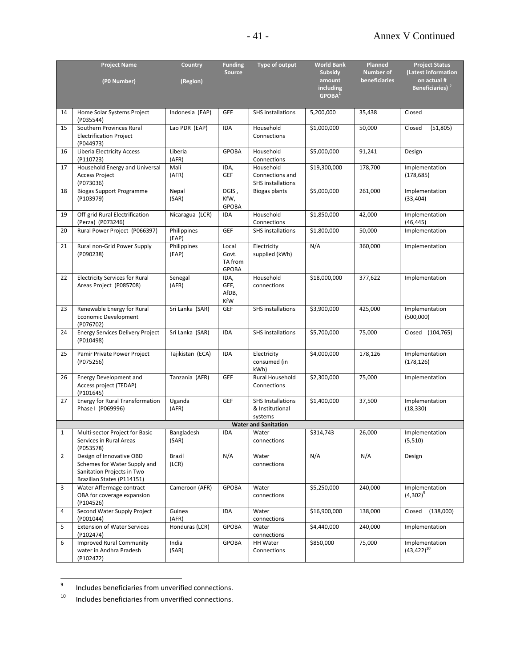|              | <b>Project Name</b>                                                                                                  | Country              | <b>Funding</b><br><b>Source</b>           | Type of output                                           | <b>World Bank</b><br><b>Subsidy</b> | <b>Planned</b><br><b>Number of</b> | <b>Project Status</b><br>(Latest information |
|--------------|----------------------------------------------------------------------------------------------------------------------|----------------------|-------------------------------------------|----------------------------------------------------------|-------------------------------------|------------------------------------|----------------------------------------------|
|              | (P0 Number)                                                                                                          | (Region)             |                                           |                                                          | amount<br>including                 | beneficiaries                      | on actual #<br>Beneficiaries) <sup>2</sup>   |
|              |                                                                                                                      |                      |                                           |                                                          | GPOBA <sup>1</sup>                  |                                    |                                              |
| 14           | Home Solar Systems Project<br>(P035544)                                                                              | Indonesia (EAP)      | <b>GEF</b>                                | <b>SHS</b> installations                                 | 5,200,000                           | 35,438                             | Closed                                       |
| 15           | Southern Provinces Rural<br><b>Electrification Project</b><br>(P044973)                                              | Lao PDR (EAP)        | <b>IDA</b>                                | Household<br>Connections                                 | \$1,000,000                         | 50,000                             | (51, 805)<br>Closed                          |
| 16           | Liberia Electricity Access<br>(P110723)                                                                              | Liberia<br>(AFR)     | <b>GPOBA</b>                              | Household<br>Connections                                 | \$5,000,000                         | 91,241                             | Design                                       |
| 17           | Household Energy and Universal<br><b>Access Project</b><br>(P073036)                                                 | Mali<br>(AFR)        | IDA,<br>GEF                               | Household<br>Connections and<br><b>SHS</b> installations | \$19,300,000                        | 178,700                            | Implementation<br>(178, 685)                 |
| 18           | <b>Biogas Support Programme</b><br>(P103979)                                                                         | Nepal<br>(SAR)       | DGIS,<br>KfW,<br>GPOBA                    | <b>Biogas plants</b>                                     | \$5,000,000                         | 261,000                            | Implementation<br>(33, 404)                  |
| 19           | Off-grid Rural Electrification<br>(Perza) (P073246)                                                                  | Nicaragua (LCR)      | IDA                                       | Household<br>Connections                                 | \$1,850,000                         | 42,000                             | Implementation<br>(46, 445)                  |
| 20           | Rural Power Project (P066397)                                                                                        | Philippines<br>(EAP) | GEF                                       | <b>SHS</b> installations                                 | \$1,800,000                         | 50,000                             | Implementation                               |
| 21           | Rural non-Grid Power Supply<br>(P090238)                                                                             | Philippines<br>(EAP) | Local<br>Govt.<br>TA from<br><b>GPOBA</b> | Electricity<br>supplied (kWh)                            | N/A                                 | 360,000                            | Implementation                               |
| 22           | <b>Electricity Services for Rural</b><br>Areas Project (P085708)                                                     | Senegal<br>(AFR)     | IDA,<br>GEF,<br>AfDB,<br>KfW              | Household<br>connections                                 | \$18,000,000                        | 377,622                            | Implementation                               |
| 23           | Renewable Energy for Rural<br>Economic Development<br>(P076702)                                                      | Sri Lanka (SAR)      | GEF                                       | <b>SHS</b> installations                                 | \$3,900,000                         | 425,000                            | Implementation<br>(500,000)                  |
| 24           | <b>Energy Services Delivery Project</b><br>(P010498)                                                                 | Sri Lanka (SAR)      | <b>IDA</b>                                | <b>SHS</b> installations                                 | \$5,700,000                         | 75,000                             | Closed (104,765)                             |
| 25           | Pamir Private Power Project<br>(P075256)                                                                             | Tajikistan (ECA)     | <b>IDA</b>                                | Electricity<br>consumed (in<br>kWh)                      | \$4,000,000                         | 178,126                            | Implementation<br>(178, 126)                 |
| 26           | Energy Development and<br>Access project (TEDAP)<br>(P101645)                                                        | Tanzania (AFR)       | GEF                                       | Rural Household<br>Connections                           | \$2,300,000                         | 75,000                             | Implementation                               |
| 27           | <b>Energy for Rural Transformation</b><br>Phase I (P069996)                                                          | Uganda<br>(AFR)      | GEF                                       | <b>SHS Installations</b><br>& Institutional<br>systems   | \$1,400,000                         | 37,500                             | Implementation<br>(18, 330)                  |
|              |                                                                                                                      |                      |                                           | <b>Water and Sanitation</b>                              |                                     |                                    |                                              |
| $\mathbf{1}$ | Multi-sector Project for Basic<br>Services in Rural Areas<br>(P053578)                                               | Bangladesh<br>(SAR)  | <b>IDA</b>                                | Water<br>connections                                     | \$314,743                           | 26,000                             | Implementation<br>(5,510)                    |
| 2            | Design of Innovative OBD<br>Schemes for Water Supply and<br>Sanitation Projects in Two<br>Brazilian States (P114151) | Brazil<br>(LCR)      | N/A                                       | Water<br>connections                                     | N/A                                 | N/A                                | Design                                       |
| 3            | Water Affermage contract -<br>OBA for coverage expansion<br>(P104526)                                                | Cameroon (AFR)       | <b>GPOBA</b>                              | Water<br>connections                                     | \$5,250,000                         | 240,000                            | Implementation<br>$(4,302)^9$                |
| 4            | Second Water Supply Project<br>(P001044)                                                                             | Guinea<br>(AFR)      | IDA                                       | Water<br>connections                                     | \$16,900,000                        | 138,000                            | (138,000)<br>Closed                          |
| 5            | <b>Extension of Water Services</b><br>(P102474)                                                                      | Honduras (LCR)       | <b>GPOBA</b>                              | Water<br>connections                                     | \$4,440,000                         | 240,000                            | Implementation                               |
| 6            | <b>Improved Rural Community</b><br>water in Andhra Pradesh<br>(P102472)                                              | India<br>(SAR)       | <b>GPOBA</b>                              | HH Water<br>Connections                                  | \$850,000                           | 75,000                             | Implementation<br>$(43, 422)^{10}$           |

<sup>-&</sup>lt;br>9 Includes beneficiaries from unverified connections.

<sup>&</sup>lt;sup>10</sup> Includes beneficiaries from unverified connections.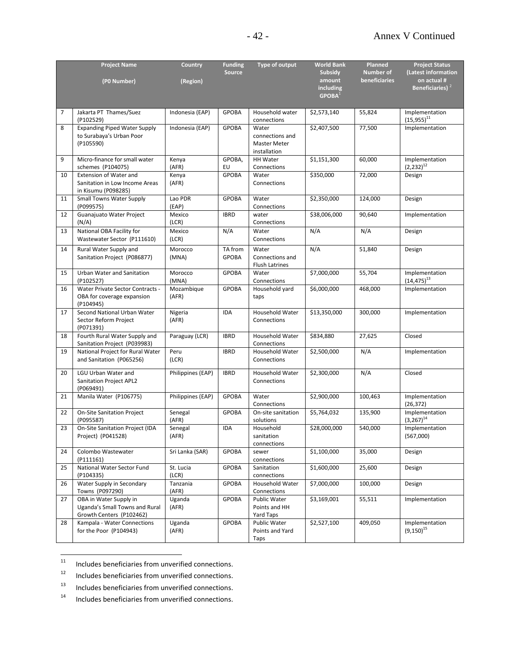|    | <b>Project Name</b>                                   | <b>Country</b>    | <b>Funding</b>          | Type of output           | <b>World Bank</b>  | Planned          | <b>Project Status</b>            |
|----|-------------------------------------------------------|-------------------|-------------------------|--------------------------|--------------------|------------------|----------------------------------|
|    |                                                       |                   | <b>Source</b>           |                          | <b>Subsidy</b>     | <b>Number of</b> | (Latest information              |
|    | (P0 Number)                                           | (Region)          |                         |                          | amount             | beneficiaries    | on actual #                      |
|    |                                                       |                   |                         |                          | <b>including</b>   |                  | Beneficiaries) <sup>2</sup>      |
|    |                                                       |                   |                         |                          | GPOBA <sup>1</sup> |                  |                                  |
| 7  | Jakarta PT Thames/Suez                                | Indonesia (EAP)   | <b>GPOBA</b>            | Household water          | \$2,573,140        | 55,824           | Implementation                   |
|    | (P102529)                                             |                   |                         | connections              |                    |                  | $(15,955)^{11}$                  |
| 8  | <b>Expanding Piped Water Supply</b>                   | Indonesia (EAP)   | <b>GPOBA</b>            | Water                    | \$2,407,500        | 77,500           | Implementation                   |
|    | to Surabaya's Urban Poor                              |                   |                         | connections and          |                    |                  |                                  |
|    | (P105590)                                             |                   |                         | <b>Master Meter</b>      |                    |                  |                                  |
|    |                                                       |                   |                         | installation             |                    |                  |                                  |
| 9  | Micro-finance for small water                         | Kenya             | GPOBA,                  | HH Water                 | \$1,151,300        | 60,000           | Implementation                   |
|    | schemes (P104075)                                     | (AFR)             | EU                      | Connections              |                    |                  | $(2,232)^{12}$                   |
| 10 | <b>Extension of Water and</b>                         | Kenya             | <b>GPOBA</b>            | Water                    | \$350,000          | 72,000           | Design                           |
|    | Sanitation in Low Income Areas                        | (AFR)             |                         | Connections              |                    |                  |                                  |
|    | in Kisumu (P098285)                                   |                   |                         |                          |                    |                  |                                  |
| 11 | <b>Small Towns Water Supply</b><br>(P099575)          | Lao PDR           | <b>GPOBA</b>            | Water                    | \$2,350,000        | 124,000          | Design                           |
| 12 | Guanajuato Water Project                              | (EAP)<br>Mexico   | <b>IBRD</b>             | Connections<br>water     | \$38,006,000       | 90,640           | Implementation                   |
|    | (N/A)                                                 | (LCR)             |                         | Connections              |                    |                  |                                  |
| 13 | National OBA Facility for                             | Mexico            | N/A                     | Water                    | N/A                | N/A              | Design                           |
|    | Wastewater Sector (P111610)                           | (LCR)             |                         | Connections              |                    |                  |                                  |
|    |                                                       |                   |                         |                          |                    |                  |                                  |
| 14 | Rural Water Supply and                                | Morocco<br>(MNA)  | TA from<br><b>GPOBA</b> | Water<br>Connections and | N/A                | 51,840           | Design                           |
|    | Sanitation Project (P086877)                          |                   |                         | <b>Flush Latrines</b>    |                    |                  |                                  |
| 15 | Urban Water and Sanitation                            | Morocco           | <b>GPOBA</b>            | Water                    | \$7,000,000        | 55,704           | Implementation                   |
|    | (P102527)                                             | (MNA)             |                         | Connections              |                    |                  | $(14, 475)^{13}$                 |
| 16 | Water Private Sector Contracts -                      | Mozambique        | <b>GPOBA</b>            | Household yard           | \$6,000,000        | 468,000          | Implementation                   |
|    | OBA for coverage expansion                            | (AFR)             |                         | taps                     |                    |                  |                                  |
|    | (P104945)                                             |                   |                         |                          |                    |                  |                                  |
| 17 | Second National Urban Water                           | Nigeria           | <b>IDA</b>              | Household Water          | \$13,350,000       | 300,000          | Implementation                   |
|    | Sector Reform Project                                 | (AFR)             |                         | Connections              |                    |                  |                                  |
|    | (P071391)                                             |                   |                         |                          |                    |                  |                                  |
| 18 | Fourth Rural Water Supply and                         | Paraguay (LCR)    | <b>IBRD</b>             | Household Water          | \$834,880          | 27,625           | Closed                           |
|    | Sanitation Project (P039983)                          |                   |                         | Connections              |                    |                  |                                  |
| 19 | National Project for Rural Water                      | Peru              | <b>IBRD</b>             | Household Water          | \$2,500,000        | N/A              | Implementation                   |
|    | and Sanitation (P065256)                              | (LCR)             |                         | Connections              |                    |                  |                                  |
| 20 | LGU Urban Water and                                   | Philippines (EAP) | <b>IBRD</b>             | Household Water          | \$2,300,000        | N/A              | Closed                           |
|    | Sanitation Project APL2                               |                   |                         | Connections              |                    |                  |                                  |
|    | (P069491)                                             |                   |                         |                          |                    |                  |                                  |
| 21 | Manila Water (P106775)                                | Philippines (EAP) | <b>GPOBA</b>            | Water                    | \$2,900,000        | 100,463          | Implementation                   |
|    |                                                       |                   |                         | Connections              |                    |                  | (26, 372)                        |
| 22 | <b>On-Site Sanitation Project</b>                     | Senegal           | <b>GPOBA</b>            | On-site sanitation       | \$5,764,032        | 135,900          | Implementation                   |
|    | (P095587)<br>On-Site Sanitation Project (IDA          | (AFR)             |                         | solutions                |                    |                  | $(3,267)^{14}$                   |
| 23 | Project) (P041528)                                    | Senegal<br>(AFR)  | <b>IDA</b>              | Household<br>sanitation  | \$28,000,000       | 540,000          | Implementation<br>(567,000)      |
|    |                                                       |                   |                         | connections              |                    |                  |                                  |
| 24 | Colombo Wastewater                                    | Sri Lanka (SAR)   | <b>GPOBA</b>            | sewer                    | \$1,100,000        | 35,000           | Design                           |
|    | (P111161)                                             |                   |                         | connections              |                    |                  |                                  |
| 25 | National Water Sector Fund                            | St. Lucia         | <b>GPOBA</b>            | Sanitation               | \$1,600,000        | 25,600           | Design                           |
|    | (P104335)                                             | (LCR)             |                         | connections              |                    |                  |                                  |
| 26 | Water Supply in Secondary                             | Tanzania          | <b>GPOBA</b>            | Household Water          | \$7,000,000        | 100,000          | Design                           |
|    | Towns (P097290)                                       | (AFR)             |                         | Connections              |                    |                  |                                  |
| 27 | OBA in Water Supply in                                | Uganda            | <b>GPOBA</b>            | Public Water             | \$3,169,001        | 55,511           | Implementation                   |
|    | Uganda's Small Towns and Rural                        | (AFR)             |                         | Points and HH            |                    |                  |                                  |
|    | Growth Centers (P102462)                              |                   |                         | Yard Taps                |                    |                  |                                  |
| 28 | Kampala - Water Connections<br>for the Poor (P104943) | Uganda            | <b>GPOBA</b>            | Public Water             | \$2,527,100        | 409,050          | Implementation<br>$(9,150)^{15}$ |
|    |                                                       | (AFR)             |                         | Points and Yard<br>Taps  |                    |                  |                                  |
|    |                                                       |                   |                         |                          |                    |                  |                                  |

 $11\,$ Includes beneficiaries from unverified connections.

<sup>12</sup> Includes beneficiaries from unverified connections.

13 Includes beneficiaries from unverified connections.<br> $14$  Includes beneficiaries from unverified connections.

Includes beneficiaries from unverified connections.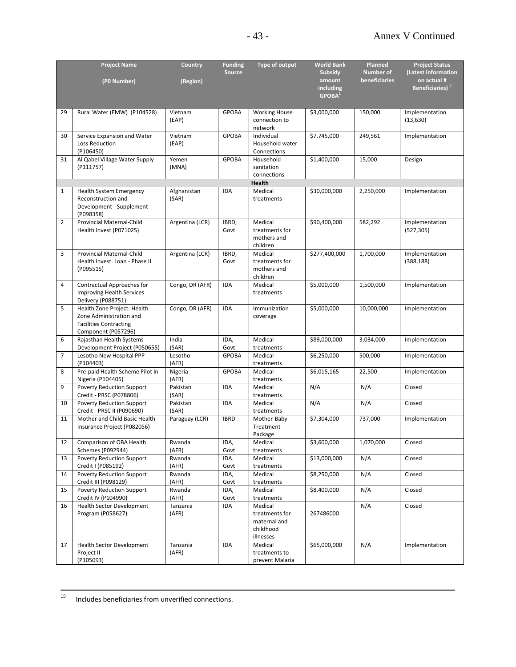|                | <b>Project Name</b>                                     | <b>Country</b>    | <b>Funding</b> | Type of output                   | <b>World Bank</b>               | Planned          | <b>Project Status</b>       |
|----------------|---------------------------------------------------------|-------------------|----------------|----------------------------------|---------------------------------|------------------|-----------------------------|
|                |                                                         |                   | <b>Source</b>  |                                  | <b>Subsidy</b>                  | <b>Number of</b> | (Latest information         |
|                | (P0 Number)                                             | (Region)          |                |                                  | amount                          | beneficiaries    | on actual #                 |
|                |                                                         |                   |                |                                  | including<br>GPOBA <sup>1</sup> |                  | Beneficiaries) <sup>2</sup> |
|                |                                                         |                   |                |                                  |                                 |                  |                             |
| 29             | Rural Water (EMW) (P104528)                             | Vietnam           | <b>GPOBA</b>   | <b>Working House</b>             | \$3,000,000                     | 150,000          | Implementation              |
|                |                                                         | (EAP)             |                | connection to                    |                                 |                  | (13, 630)                   |
|                |                                                         |                   |                | network                          |                                 |                  |                             |
| 30             | Service Expansion and Water                             | Vietnam           | <b>GPOBA</b>   | Individual                       | \$7,745,000                     | 249,561          | Implementation              |
|                | Loss Reduction                                          | (EAP)             |                | Household water                  |                                 |                  |                             |
|                | (P106450)                                               |                   |                | Connections                      |                                 |                  |                             |
| 31             | Al Qabel Village Water Supply                           | Yemen             | <b>GPOBA</b>   | Household                        | \$1,400,000                     | 15,000           | Design                      |
|                | (P111757)                                               | (MNA)             |                | sanitation<br>connections        |                                 |                  |                             |
|                |                                                         |                   |                | Health                           |                                 |                  |                             |
| $\mathbf{1}$   | Health System Emergency                                 | Afghanistan       | IDA            | Medical                          | \$30,000,000                    | 2,250,000        | Implementation              |
|                | Reconstruction and                                      | (SAR)             |                | treatments                       |                                 |                  |                             |
|                | Development - Supplement                                |                   |                |                                  |                                 |                  |                             |
|                | (P098358)                                               |                   |                |                                  |                                 |                  |                             |
| $\overline{2}$ | Provincial Maternal-Child                               | Argentina (LCR)   | IBRD,          | Medical                          | \$90,400,000                    | 582,292          | Implementation              |
|                | Health Invest (P071025)                                 |                   | Govt           | treatments for                   |                                 |                  | (527, 305)                  |
|                |                                                         |                   |                | mothers and<br>children          |                                 |                  |                             |
| 3              | Provincial Maternal-Child                               | Argentina (LCR)   | IBRD,          | Medical                          | \$277,400,000                   | 1,700,000        | Implementation              |
|                | Health Invest. Loan - Phase II                          |                   | Govt           | treatments for                   |                                 |                  | (388, 188)                  |
|                | (P095515)                                               |                   |                | mothers and                      |                                 |                  |                             |
|                |                                                         |                   |                | children                         |                                 |                  |                             |
| $\overline{4}$ | Contractual Approaches for                              | Congo, DR (AFR)   | IDA            | Medical                          | \$5,000,000                     | 1,500,000        | Implementation              |
|                | <b>Improving Health Services</b>                        |                   |                | treatments                       |                                 |                  |                             |
|                | Delivery (P088751)                                      |                   |                |                                  |                                 |                  |                             |
| 5              | Health Zone Project: Health                             | Congo, DR (AFR)   | <b>IDA</b>     | Immunization                     | \$5,000,000                     | 10,000,000       | Implementation              |
|                | Zone Administration and                                 |                   |                | coverage                         |                                 |                  |                             |
|                | <b>Facilities Contracting</b><br>Component (P057296)    |                   |                |                                  |                                 |                  |                             |
| 6              | Rajasthan Health Systems                                | India             | IDA,           | Medical                          | \$89,000,000                    | 3,034,000        | Implementation              |
|                | Development Project (P050655)                           | (SAR)             | Govt           | treatments                       |                                 |                  |                             |
| $\overline{7}$ | Lesotho New Hospital PPP                                | Lesotho           | <b>GPOBA</b>   | Medical                          | \$6,250,000                     | 500,000          | Implementation              |
|                | (P104403)                                               | (AFR)             |                | treatments                       |                                 |                  |                             |
| 8              | Pre-paid Health Scheme Pilot in                         | Nigeria           | <b>GPOBA</b>   | Medical                          | \$6,015,165                     | 22,500           | Implementation              |
|                | Nigeria (P104405)                                       | (AFR)             |                | treatments                       |                                 |                  |                             |
| 9              | Poverty Reduction Support                               | Pakistan          | <b>IDA</b>     | Medical                          | N/A                             | N/A              | Closed                      |
|                | Credit - PRSC (P078806)                                 | (SAR)             |                | treatments                       |                                 |                  |                             |
| 10             | Poverty Reduction Support<br>Credit - PRSC II (P090690) | Pakistan<br>(SAR) | IDA            | Medical<br>treatments            | N/A                             | N/A              | Closed                      |
| 11             | Mother and Child Basic Health                           | Paraguay (LCR)    | <b>IBRD</b>    | Mother-Baby                      | \$7,304,000                     | 737,000          | Implementation              |
|                | Insurance Project (P082056)                             |                   |                | Treatment                        |                                 |                  |                             |
|                |                                                         |                   |                | Package                          |                                 |                  |                             |
| 12             | Comparison of OBA Health                                | Rwanda            | IDA,           | Medical                          | \$3,600,000                     | 1,070,000        | Closed                      |
|                | Schemes (P092944)                                       | (AFR)             | Govt           | treatments                       |                                 |                  |                             |
| 13             | Poverty Reduction Support                               | Rwanda            | IDA.           | Medical                          | \$13,000,000                    | N/A              | Closed                      |
|                | Credit I (P085192)                                      | (AFR)             | Govt           | treatments                       |                                 |                  |                             |
| 14             | Poverty Reduction Support<br>Credit III (P098129)       | Rwanda<br>(AFR)   | IDA,<br>Govt   | Medical<br>treatments            | \$8,250,000                     | N/A              | Closed                      |
| 15             | Poverty Reduction Support                               | Rwanda            | IDA,           | Medical                          | \$8,400,000                     | N/A              | Closed                      |
|                | Credit IV (P104990)                                     | (AFR)             | Govt           | treatments                       |                                 |                  |                             |
| 16             | <b>Health Sector Development</b>                        | Tanzania          | IDA            | Medical                          |                                 | N/A              | Closed                      |
|                | Program (P058627)                                       | (AFR)             |                | treatments for                   | 267486000                       |                  |                             |
|                |                                                         |                   |                | maternal and                     |                                 |                  |                             |
|                |                                                         |                   |                | childhood                        |                                 |                  |                             |
|                |                                                         |                   |                | illnesses                        |                                 |                  |                             |
| 17             | <b>Health Sector Development</b>                        | Tanzania          | IDA            | Medical                          | \$65,000,000                    | N/A              | Implementation              |
|                | Project II<br>(P105093)                                 | (AFR)             |                | treatments to<br>prevent Malaria |                                 |                  |                             |
|                |                                                         |                   |                |                                  |                                 |                  |                             |

 $15\,$ Includes beneficiaries from unverified connections.